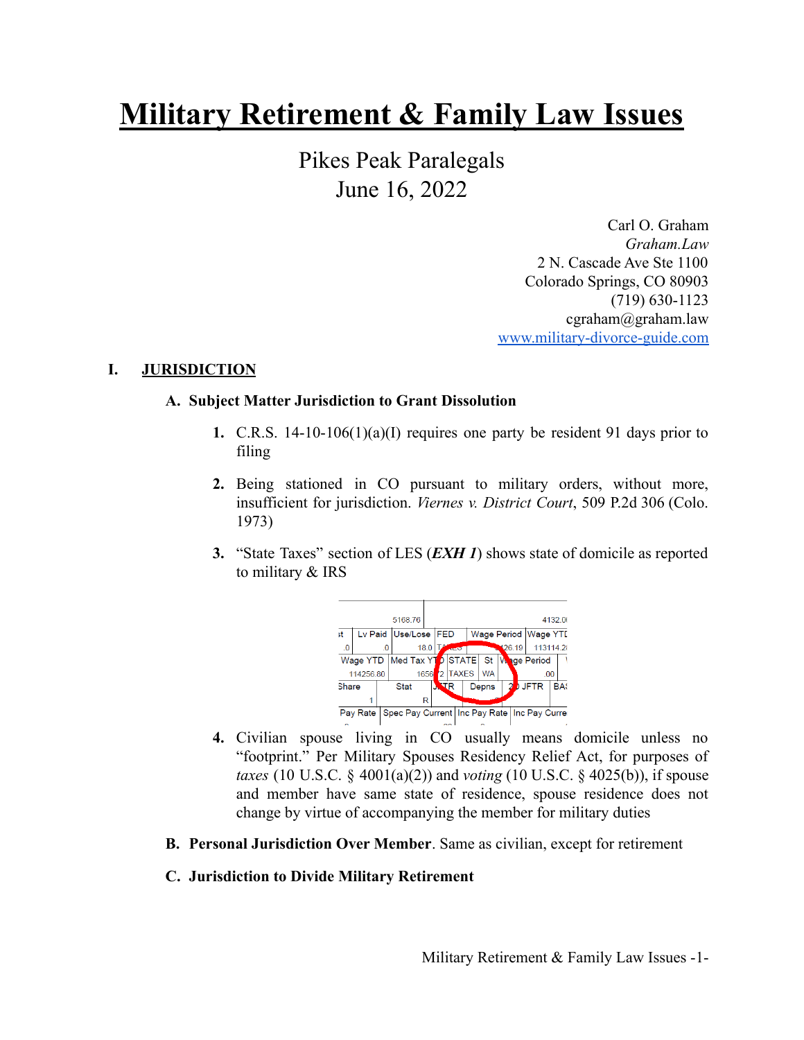# **Military Retirement & Family Law Issues**

Pikes Peak Paralegals June 16, 2022

> Carl O. Graham *Graham.Law* 2 N. Cascade Ave Ste 1100 Colorado Springs, CO 80903 (719) 630-1123 cgraham@graham.law [www.military-divorce-guide.com](http://www.military-divorce-guide.com)

#### **I. JURISDICTION**

#### **A. Subject Matter Jurisdiction to Grant Dissolution**

- **1.** C.R.S. 14-10-106(1)(a)(I) requires one party be resident 91 days prior to filing
- **2.** Being stationed in CO pursuant to military orders, without more, insufficient for jurisdiction. *Viernes v. District Court*, 509 P.2d 306 (Colo. 1973)
- **3.** "State Taxes" section of LES (*EXH 1*) shows state of domicile as reported to military & IRS



- **4.** Civilian spouse living in CO usually means domicile unless no "footprint." Per Military Spouses Residency Relief Act, for purposes of *taxes* (10 U.S.C. § 4001(a)(2)) and *voting* (10 U.S.C. § 4025(b)), if spouse and member have same state of residence, spouse residence does not change by virtue of accompanying the member for military duties
- **B. Personal Jurisdiction Over Member**. Same as civilian, except for retirement

#### **C. Jurisdiction to Divide Military Retirement**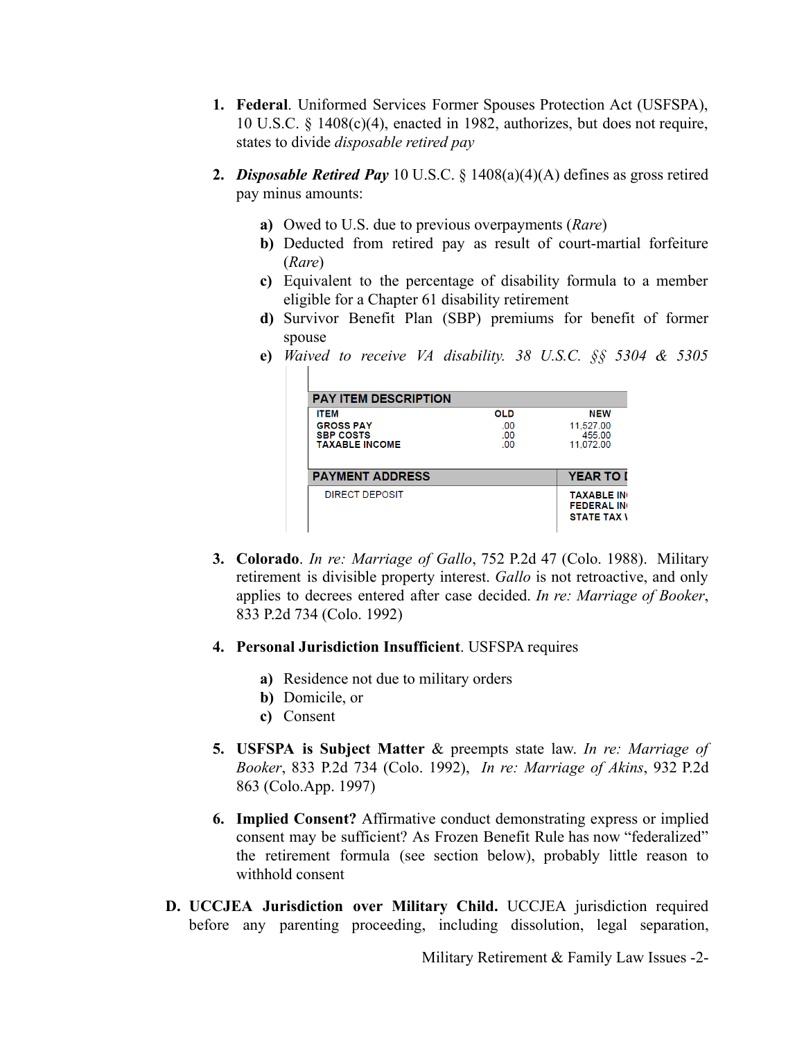- **1. Federal**. Uniformed Services Former Spouses Protection Act (USFSPA), 10 U.S.C. § 1408(c)(4), enacted in 1982, authorizes, but does not require, states to divide *disposable retired pay*
- **2.** *Disposable Retired Pay* 10 U.S.C. § 1408(a)(4)(A) defines as gross retired pay minus amounts:
	- **a)** Owed to U.S. due to previous overpayments (*Rare*)
	- **b)** Deducted from retired pay as result of court-martial forfeiture (*Rare*)
	- **c)** Equivalent to the percentage of disability formula to a member eligible for a Chapter 61 disability retirement
	- **d)** Survivor Benefit Plan (SBP) premiums for benefit of former spouse
	- **e)** *Waived to receive VA disability. 38 U.S.C. §§ 5304 & 5305*

| <b>PAY ITEM DESCRIPTION</b>                                                  |                                 |                                                              |
|------------------------------------------------------------------------------|---------------------------------|--------------------------------------------------------------|
| <b>ITEM</b><br><b>GROSS PAY</b><br><b>SBP COSTS</b><br><b>TAXABLE INCOME</b> | <b>OLD</b><br>.00<br>.00<br>.00 | <b>NEW</b><br>11,527.00<br>455.00<br>11,072.00               |
| <b>PAYMENT ADDRESS</b>                                                       |                                 | <b>YEAR TO I</b>                                             |
| DIRECT DEPOSIT                                                               |                                 | <b>TAXABLE IN</b><br><b>FEDERAL IN</b><br><b>STATE TAX V</b> |

- **3. Colorado**. *In re: Marriage of Gallo*, 752 P.2d 47 (Colo. 1988). Military retirement is divisible property interest. *Gallo* is not retroactive, and only applies to decrees entered after case decided. *In re: Marriage of Booker*, 833 P.2d 734 (Colo. 1992)
- **4. Personal Jurisdiction Insufficient**. USFSPA requires
	- **a)** Residence not due to military orders
	- **b)** Domicile, or
	- **c)** Consent
- **5. USFSPA is Subject Matter** & preempts state law. *In re: Marriage of Booker*, 833 P.2d 734 (Colo. 1992), *In re: Marriage of Akins*, 932 P.2d 863 (Colo.App. 1997)
- **6. Implied Consent?** Affirmative conduct demonstrating express or implied consent may be sufficient? As Frozen Benefit Rule has now "federalized" the retirement formula (see section below), probably little reason to withhold consent
- **D. UCCJEA Jurisdiction over Military Child.** UCCJEA jurisdiction required before any parenting proceeding, including dissolution, legal separation,

Military Retirement & Family Law Issues -2-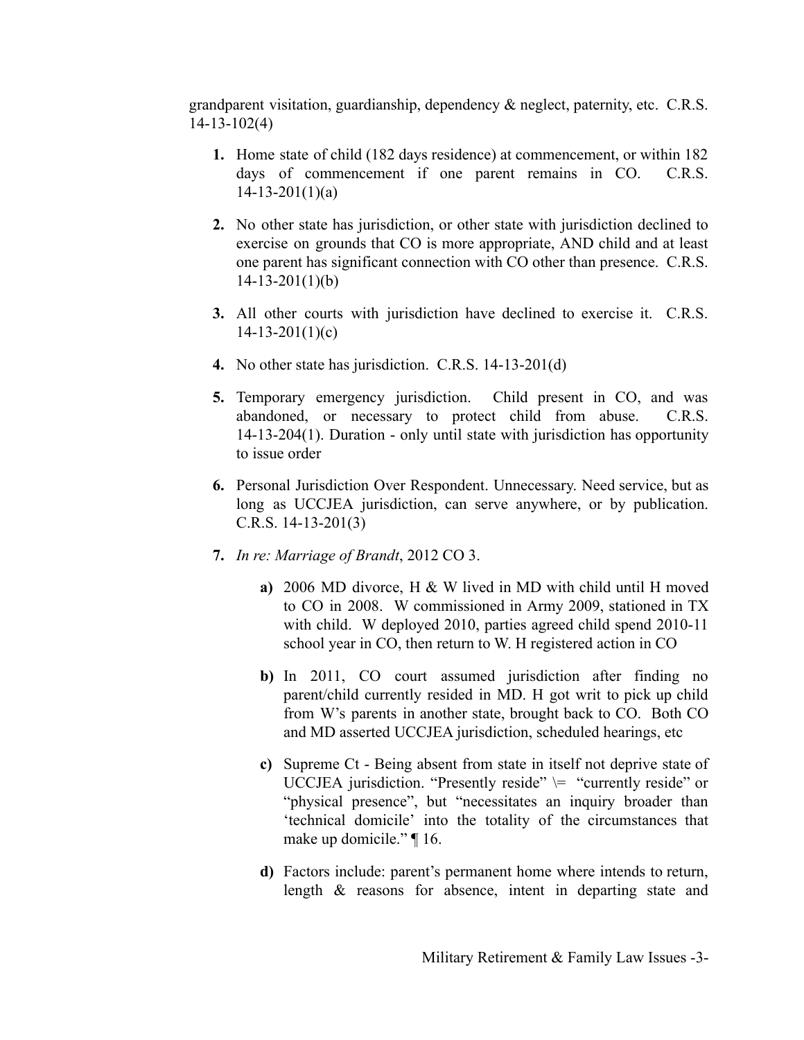grandparent visitation, guardianship, dependency & neglect, paternity, etc. C.R.S. 14-13-102(4)

- **1.** Home state of child (182 days residence) at commencement, or within 182 days of commencement if one parent remains in CO. C.R.S.  $14 - 13 - 201(1)(a)$
- **2.** No other state has jurisdiction, or other state with jurisdiction declined to exercise on grounds that CO is more appropriate, AND child and at least one parent has significant connection with CO other than presence. C.R.S. 14-13-201(1)(b)
- **3.** All other courts with jurisdiction have declined to exercise it. C.R.S.  $14 - 13 - 201(1)(c)$
- **4.** No other state has jurisdiction. C.R.S. 14-13-201(d)
- **5.** Temporary emergency jurisdiction. Child present in CO, and was abandoned, or necessary to protect child from abuse. C.R.S. 14-13-204(1). Duration - only until state with jurisdiction has opportunity to issue order
- **6.** Personal Jurisdiction Over Respondent. Unnecessary. Need service, but as long as UCCJEA jurisdiction, can serve anywhere, or by publication. C.R.S. 14-13-201(3)
- **7.** *In re: Marriage of Brandt*, 2012 CO 3.
	- **a)** 2006 MD divorce, H & W lived in MD with child until H moved to CO in 2008. W commissioned in Army 2009, stationed in TX with child. W deployed 2010, parties agreed child spend 2010-11 school year in CO, then return to W. H registered action in CO
	- **b)** In 2011, CO court assumed jurisdiction after finding no parent/child currently resided in MD. H got writ to pick up child from W's parents in another state, brought back to CO. Both CO and MD asserted UCCJEA jurisdiction, scheduled hearings, etc
	- **c)** Supreme Ct Being absent from state in itself not deprive state of UCCJEA jurisdiction. "Presently reside"  $\models$  "currently reside" or "physical presence", but "necessitates an inquiry broader than 'technical domicile' into the totality of the circumstances that make up domicile." ¶ 16.
	- **d)** Factors include: parent's permanent home where intends to return, length & reasons for absence, intent in departing state and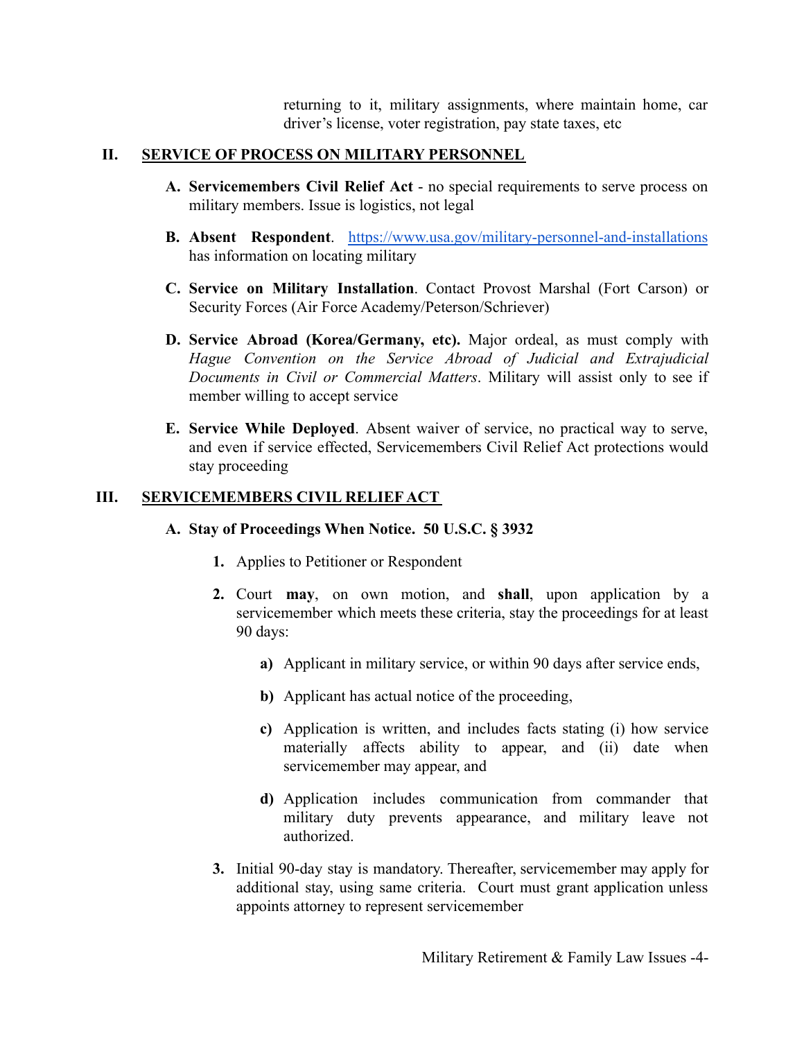returning to it, military assignments, where maintain home, car driver's license, voter registration, pay state taxes, etc

#### **II. SERVICE OF PROCESS ON MILITARY PERSONNEL**

- **A. Servicemembers Civil Relief Act** no special requirements to serve process on military members. Issue is logistics, not legal
- **B. Absent Respondent**. <https://www.usa.gov/military-personnel-and-installations> has information on locating military
- **C. Service on Military Installation**. Contact Provost Marshal (Fort Carson) or Security Forces (Air Force Academy/Peterson/Schriever)
- **D. Service Abroad (Korea/Germany, etc).** Major ordeal, as must comply with *Hague Convention on the Service Abroad of Judicial and Extrajudicial Documents in Civil or Commercial Matters*. Military will assist only to see if member willing to accept service
- **E. Service While Deployed**. Absent waiver of service, no practical way to serve, and even if service effected, Servicemembers Civil Relief Act protections would stay proceeding

### **III. SERVICEMEMBERS CIVIL RELIEF ACT**

#### **A. Stay of Proceedings When Notice. 50 U.S.C. § 3932**

- **1.** Applies to Petitioner or Respondent
- **2.** Court **may**, on own motion, and **shall**, upon application by a servicemember which meets these criteria, stay the proceedings for at least 90 days:
	- **a)** Applicant in military service, or within 90 days after service ends,
	- **b)** Applicant has actual notice of the proceeding,
	- **c)** Application is written, and includes facts stating (i) how service materially affects ability to appear, and (ii) date when servicemember may appear, and
	- **d)** Application includes communication from commander that military duty prevents appearance, and military leave not authorized.
- **3.** Initial 90-day stay is mandatory. Thereafter, servicemember may apply for additional stay, using same criteria. Court must grant application unless appoints attorney to represent servicemember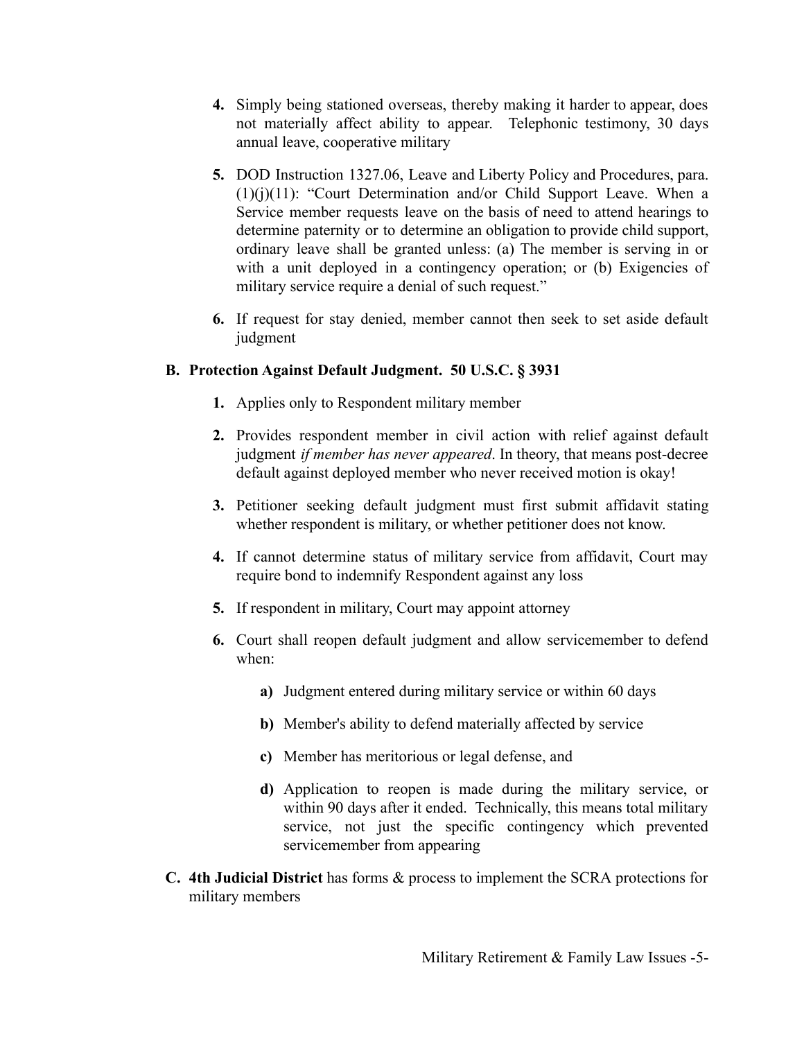- **4.** Simply being stationed overseas, thereby making it harder to appear, does not materially affect ability to appear. Telephonic testimony, 30 days annual leave, cooperative military
- **5.** DOD Instruction 1327.06, Leave and Liberty Policy and Procedures, para. (1)(j)(11): "Court Determination and/or Child Support Leave. When a Service member requests leave on the basis of need to attend hearings to determine paternity or to determine an obligation to provide child support, ordinary leave shall be granted unless: (a) The member is serving in or with a unit deployed in a contingency operation; or (b) Exigencies of military service require a denial of such request."
- **6.** If request for stay denied, member cannot then seek to set aside default judgment

### **B. Protection Against Default Judgment. 50 U.S.C. § 3931**

- **1.** Applies only to Respondent military member
- **2.** Provides respondent member in civil action with relief against default judgment *if member has never appeared*. In theory, that means post-decree default against deployed member who never received motion is okay!
- **3.** Petitioner seeking default judgment must first submit affidavit stating whether respondent is military, or whether petitioner does not know.
- **4.** If cannot determine status of military service from affidavit, Court may require bond to indemnify Respondent against any loss
- **5.** If respondent in military, Court may appoint attorney
- **6.** Court shall reopen default judgment and allow servicemember to defend when:
	- **a)** Judgment entered during military service or within 60 days
	- **b)** Member's ability to defend materially affected by service
	- **c)** Member has meritorious or legal defense, and
	- **d)** Application to reopen is made during the military service, or within 90 days after it ended. Technically, this means total military service, not just the specific contingency which prevented servicemember from appearing
- **C. 4th Judicial District** has forms & process to implement the SCRA protections for military members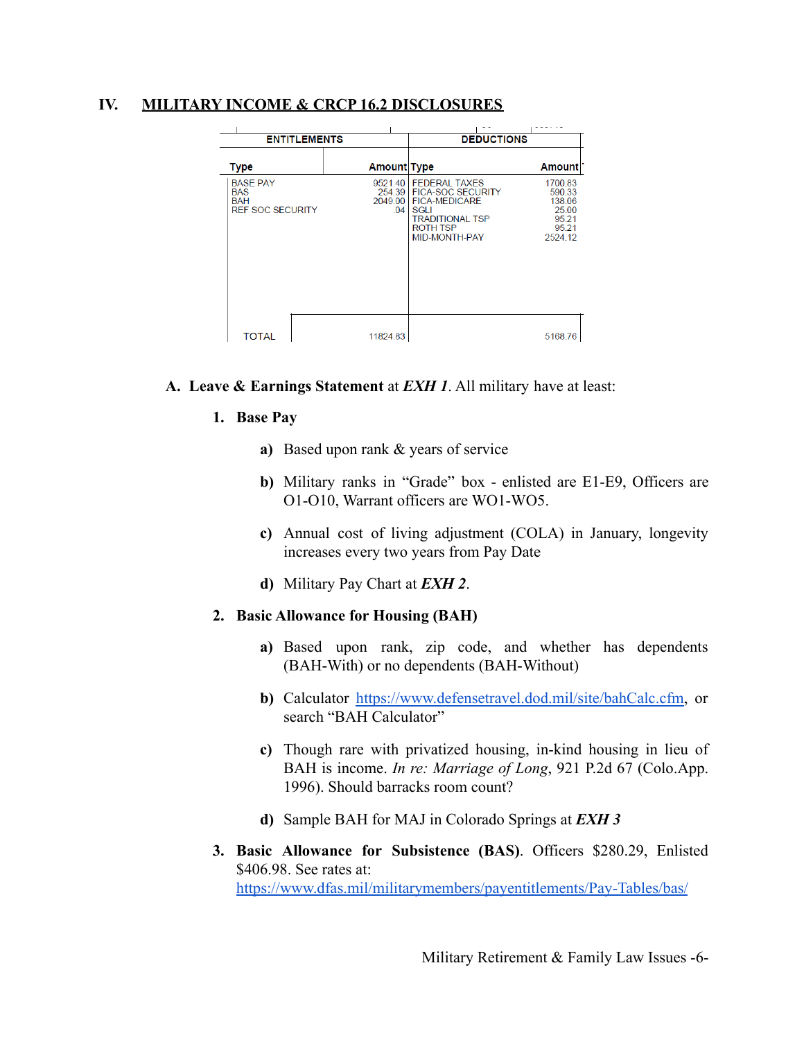#### **IV. MILITARY INCOME & CRCP 16.2 DISCLOSURES**

| <b>ENTITLEMENTS</b>                                                    |                                     | <b>DEDUCTIONS</b>                                                                                                                              |                                                                   |
|------------------------------------------------------------------------|-------------------------------------|------------------------------------------------------------------------------------------------------------------------------------------------|-------------------------------------------------------------------|
| <b>Type</b>                                                            | <b>Amount Type</b>                  |                                                                                                                                                | <b>Amount</b>                                                     |
| <b>BASE PAY</b><br><b>BAS</b><br><b>BAH</b><br><b>REF SOC SECURITY</b> | 9521.40<br>254.39<br>2049.00<br>.04 | <b>FEDERAL TAXES</b><br><b>FICA-SOC SECURITY</b><br><b>FICA-MEDICARE</b><br><b>SGLI</b><br><b>TRADITIONAL TSP</b><br>ROTH TSP<br>MID-MONTH-PAY | 1700.83<br>590.33<br>138.06<br>25.00<br>95.21<br>95.21<br>2524.12 |
| <b>TOTAL</b>                                                           | 11824.83                            |                                                                                                                                                | 5168.76                                                           |

#### **A. Leave & Earnings Statement** at *EXH 1*. All military have at least:

#### **1. Base Pay**

- **a)** Based upon rank & years of service
- **b)** Military ranks in "Grade" box enlisted are E1-E9, Officers are O1-O10, Warrant officers are WO1-WO5.
- **c)** Annual cost of living adjustment (COLA) in January, longevity increases every two years from Pay Date
- **d)** Military Pay Chart at *EXH 2*.

#### **2. Basic Allowance for Housing (BAH)**

- **a)** Based upon rank, zip code, and whether has dependents (BAH-With) or no dependents (BAH-Without)
- **b)** Calculator <https://www.defensetravel.dod.mil/site/bahCalc.cfm>, or search "BAH Calculator"
- **c)** Though rare with privatized housing, in-kind housing in lieu of BAH is income. *In re: Marriage of Long*, 921 P.2d 67 (Colo.App. 1996). Should barracks room count?
- **d)** Sample BAH for MAJ in Colorado Springs at *EXH 3*
- **3. Basic Allowance for Subsistence (BAS)**. Officers \$280.29, Enlisted \$406.98. See rates at: <https://www.dfas.mil/militarymembers/payentitlements/Pay-Tables/bas/>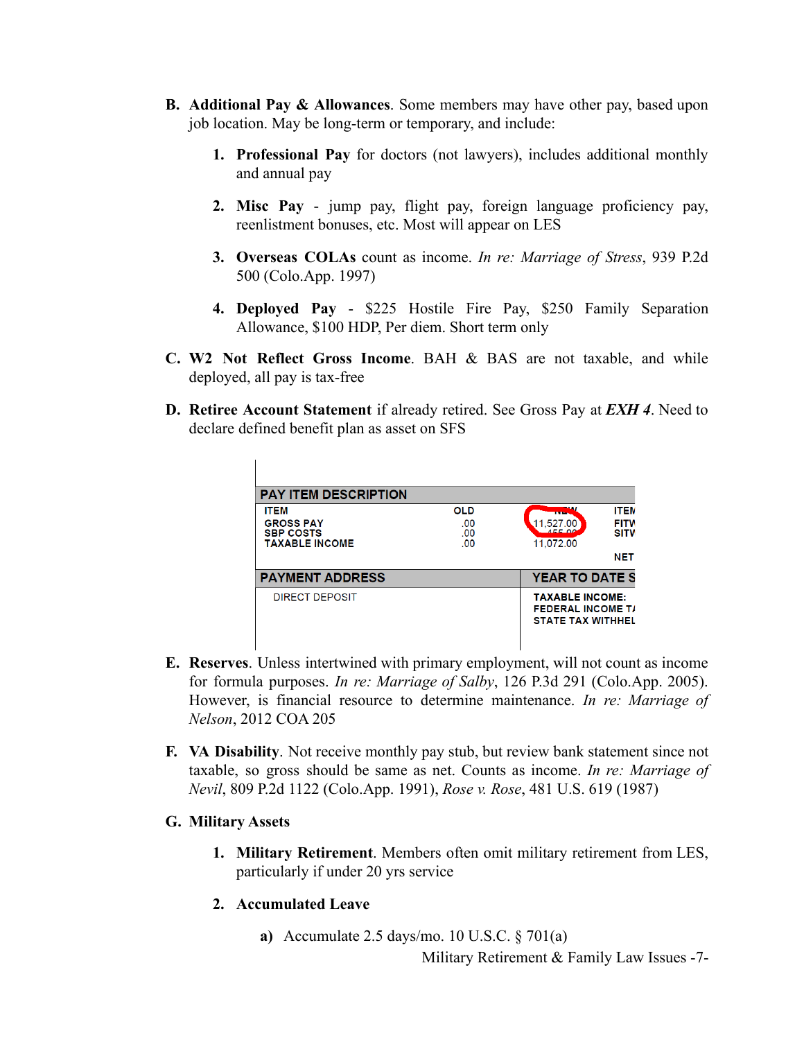- **B. Additional Pay & Allowances**. Some members may have other pay, based upon job location. May be long-term or temporary, and include:
	- **1. Professional Pay** for doctors (not lawyers), includes additional monthly and annual pay
	- **2. Misc Pay** jump pay, flight pay, foreign language proficiency pay, reenlistment bonuses, etc. Most will appear on LES
	- **3. Overseas COLAs** count as income. *In re: Marriage of Stress*, 939 P.2d 500 (Colo.App. 1997)
	- **4. Deployed Pay** \$225 Hostile Fire Pay, \$250 Family Separation Allowance, \$100 HDP, Per diem. Short term only
- **C. W2 Not Reflect Gross Income**. BAH & BAS are not taxable, and while deployed, all pay is tax-free
- **D. Retiree Account Statement** if already retired. See Gross Pay at *EXH 4*. Need to declare defined benefit plan as asset on SFS

| <b>PAY ITEM DESCRIPTION</b>               |            |                                                                                |
|-------------------------------------------|------------|--------------------------------------------------------------------------------|
| <b>ITEM</b>                               | <b>OLD</b> | <b>ITEM</b><br><b>COLOR</b>                                                    |
| <b>GROSS PAY</b>                          | .00        | <b>FITW</b><br>.527.00                                                         |
| <b>SBP COSTS</b><br><b>TAXABLE INCOME</b> | .00<br>.00 | <b>SITW</b><br>11.072.00                                                       |
|                                           |            | <b>NET</b>                                                                     |
| <b>PAYMENT ADDRESS</b>                    |            | <b>YEAR TO DATE S</b>                                                          |
| DIRECT DEPOSIT                            |            | <b>TAXABLE INCOME:</b><br><b>FEDERAL INCOME T/</b><br><b>STATE TAX WITHHEL</b> |

- **E. Reserves**. Unless intertwined with primary employment, will not count as income for formula purposes. *In re: Marriage of Salby*, 126 P.3d 291 (Colo.App. 2005). However, is financial resource to determine maintenance. *In re: Marriage of Nelson*, 2012 COA 205
- **F. VA Disability**. Not receive monthly pay stub, but review bank statement since not taxable, so gross should be same as net. Counts as income. *In re: Marriage of Nevil*, 809 P.2d 1122 (Colo.App. 1991), *Rose v. Rose*, 481 U.S. 619 (1987)
- **G. Military Assets**
	- **1. Military Retirement**. Members often omit military retirement from LES, particularly if under 20 yrs service
	- **2. Accumulated Leave**
		- **a)** Accumulate 2.5 days/mo. 10 U.S.C. § 701(a)

Military Retirement & Family Law Issues -7-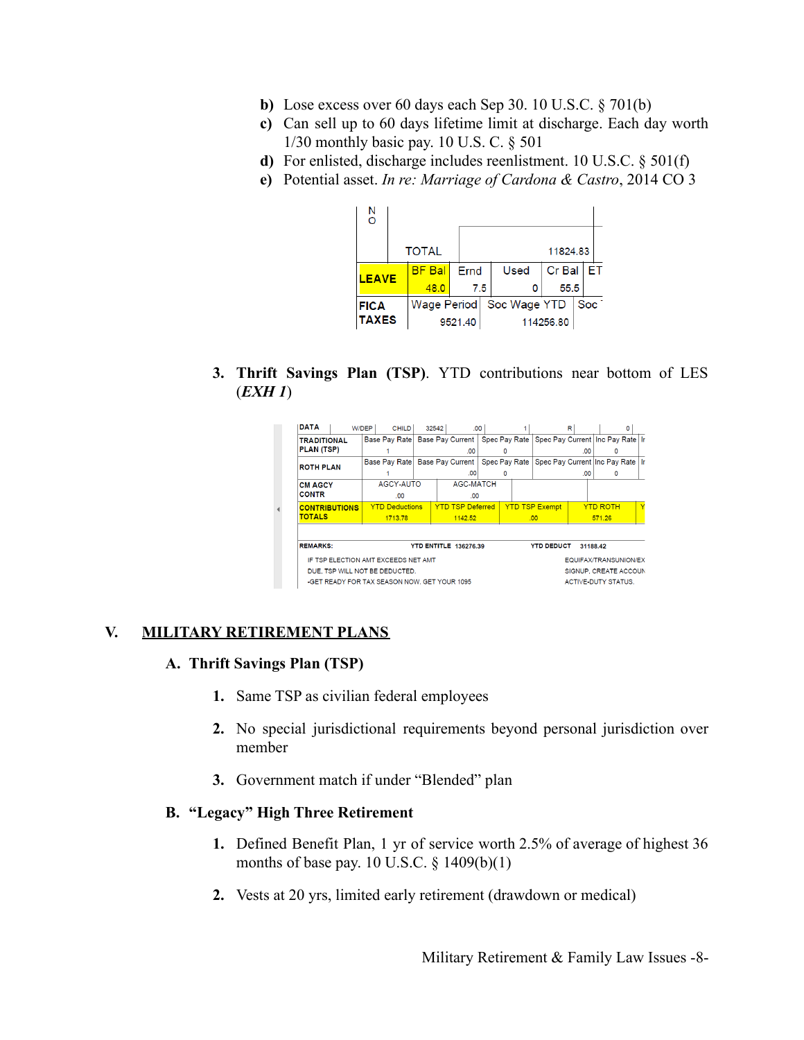- **b)** Lose excess over 60 days each Sep 30. 10 U.S.C. § 701(b)
- **c)** Can sell up to 60 days lifetime limit at discharge. Each day worth 1/30 monthly basic pay. 10 U.S. C. § 501
- **d)** For enlisted, discharge includes reenlistment. 10 U.S.C. § 501(f)
- **e)** Potential asset. *In re: Marriage of Cardona & Castro*, 2014 CO 3



**3. Thrift Savings Plan (TSP)**. YTD contributions near bottom of LES (*EXH 1*)

| DATA                                         | W/DEP<br><b>CHILD</b>                          | 32542 |                         | .00 |   |                       | R   | ٥                                  |  |
|----------------------------------------------|------------------------------------------------|-------|-------------------------|-----|---|-----------------------|-----|------------------------------------|--|
| <b>TRADITIONAL</b>                           | Base Pay Rate Base Pay Current   Spec Pay Rate |       |                         |     |   |                       |     | Spec Pay Current Inc Pay Rate Ir   |  |
| PLAN (TSP)                                   |                                                |       | 00                      |     | 0 |                       | .00 | o                                  |  |
| <b>ROTH PLAN</b>                             | Base Pay Rate Base Pay Current   Spec Pay Rate |       |                         |     |   |                       |     | Spec Pay Current Inc Pay Rate   Ir |  |
|                                              |                                                |       | .00                     |     | 0 |                       | .00 | 0                                  |  |
| <b>CM AGCY</b>                               | AGCY-AUTO                                      |       | <b>AGC-MATCH</b>        |     |   |                       |     |                                    |  |
| <b>CONTR</b>                                 | .00                                            |       | .00                     |     |   |                       |     |                                    |  |
| <b>CONTRIBUTIONS</b>                         | <b>YTD Deductions</b>                          |       | <b>YTD TSP Deferred</b> |     |   | <b>YTD TSP Exempt</b> |     | <b>YTD ROTH</b>                    |  |
| <b>TOTALS</b>                                | 1713.78                                        |       | 1142.52                 |     |   | .00 <sub>1</sub>      |     | 571.26                             |  |
| <b>REMARKS:</b>                              |                                                |       | YTD ENTITLE 136276.39   |     |   | <b>YTD DEDUCT</b>     |     | 31188.42                           |  |
| IF TSP ELECTION AMT EXCEEDS NET AMT          |                                                |       |                         |     |   |                       |     | EQUIFAX/TRANSUNION/EX              |  |
| DUE, TSP WILL NOT BE DEDUCTED.               |                                                |       |                         |     |   |                       |     | SIGNUP, CREATE ACCOUN              |  |
| -GET READY FOR TAX SEASON NOW. GET YOUR 1095 |                                                |       |                         |     |   |                       |     | <b>ACTIVE-DUTY STATUS.</b>         |  |

#### **V. MILITARY RETIREMENT PLANS**

#### **A. Thrift Savings Plan (TSP)**

- **1.** Same TSP as civilian federal employees
- **2.** No special jurisdictional requirements beyond personal jurisdiction over member
- **3.** Government match if under "Blended" plan

#### **B. "Legacy" High Three Retirement**

- **1.** Defined Benefit Plan, 1 yr of service worth 2.5% of average of highest 36 months of base pay. 10 U.S.C. § 1409(b)(1)
- **2.** Vests at 20 yrs, limited early retirement (drawdown or medical)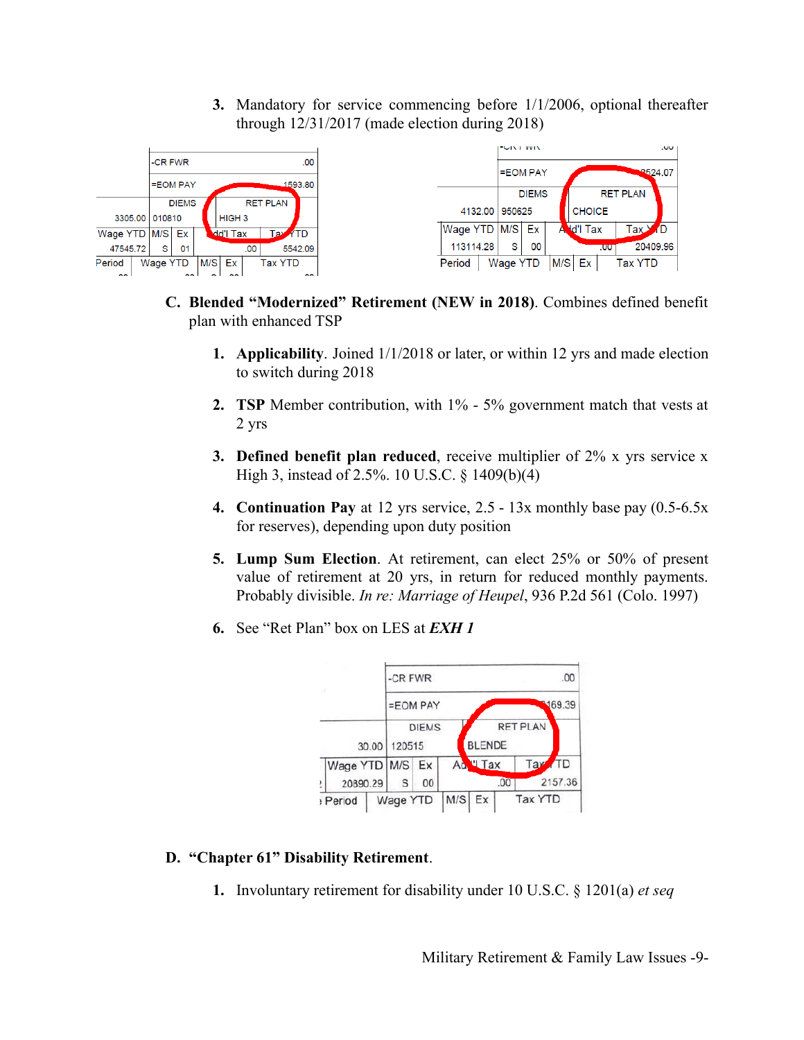**3.** Mandatory for service commencing before 1/1/2006, optional thereafter through 12/31/2017 (made election during 2018)



- **C. Blended "Modernized" Retirement (NEW in 2018)**. Combines defined benefit plan with enhanced TSP
	- **1. Applicability**. Joined 1/1/2018 or later, or within 12 yrs and made election to switch during 2018
	- **2. TSP** Member contribution, with  $1\%$  5% government match that vests at 2 yrs
	- **3. Defined benefit plan reduced**, receive multiplier of 2% x yrs service x High 3, instead of 2.5%. 10 U.S.C. § 1409(b)(4)
	- **4. Continuation Pay** at 12 yrs service, 2.5 13x monthly base pay (0.5-6.5x for reserves), depending upon duty position
	- **5. Lump Sum Election**. At retirement, can elect 25% or 50% of present value of retirement at 20 yrs, in return for reduced monthly payments. Probably divisible. *In re: Marriage of Heupel*, 936 P.2d 561 (Colo. 1997)
	- **6.** See "Ret Plan" box on LES at *EXH 1*



### **D. "Chapter 61" Disability Retirement**.

**1.** Involuntary retirement for disability under 10 U.S.C. § 1201(a) *et seq*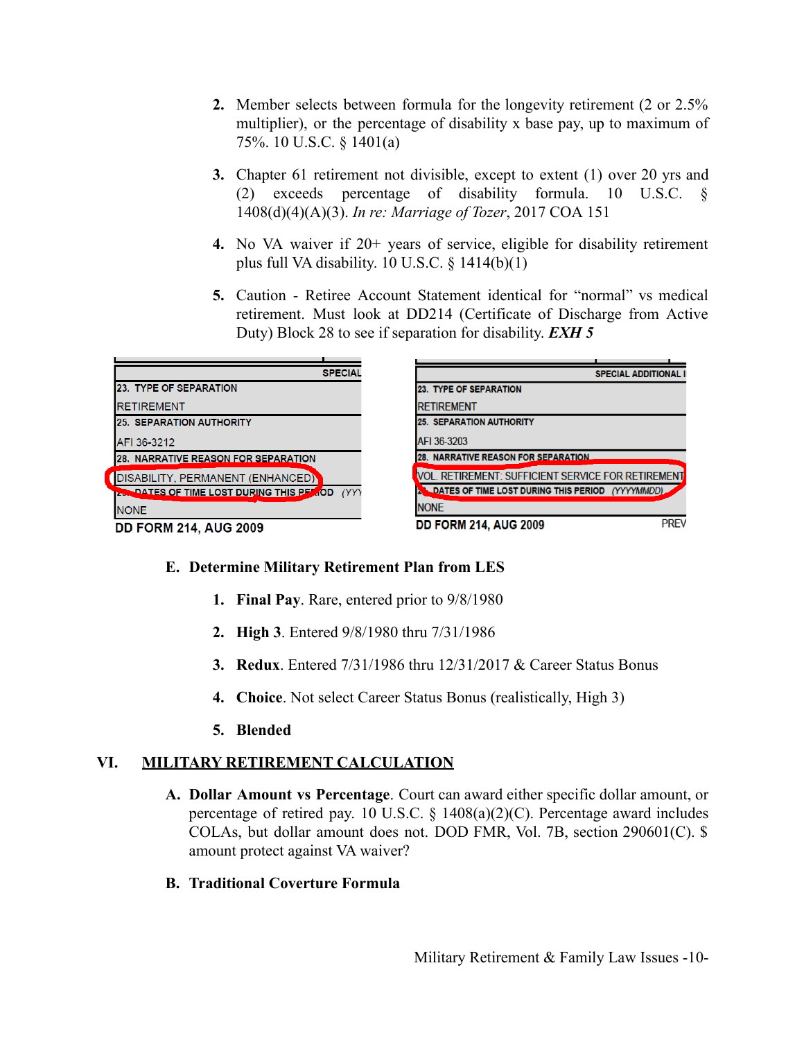- **2.** Member selects between formula for the longevity retirement (2 or 2.5% multiplier), or the percentage of disability x base pay, up to maximum of 75%. 10 U.S.C. § 1401(a)
- **3.** Chapter 61 retirement not divisible, except to extent (1) over 20 yrs and (2) exceeds percentage of disability formula. 10 U.S.C. § 1408(d)(4)(A)(3). *In re: Marriage of Tozer*, 2017 COA 151
- **4.** No VA waiver if 20+ years of service, eligible for disability retirement plus full VA disability.  $10$  U.S.C.  $\frac{1414(b)(1)}{11}$
- **5.** Caution Retiree Account Statement identical for "normal" vs medical retirement. Must look at DD214 (Certificate of Discharge from Active Duty) Block 28 to see if separation for disability. *EXH 5*

| <b>SPECIAL</b>                                         | <b>SPECIAL ADDITIONAL II</b>                             |
|--------------------------------------------------------|----------------------------------------------------------|
| <b>23. TYPE OF SEPARATION</b>                          | 23. TYPE OF SEPARATION                                   |
| <b>RETIREMENT</b>                                      | <b>RETIREMENT</b>                                        |
| <b>25. SEPARATION AUTHORITY</b>                        | <b>25. SEPARATION AUTHORITY</b>                          |
| AFI 36-3212                                            | AFI 36-3203                                              |
| <b>28. NARRATIVE REASON FOR SEPARATION</b>             | <b>28. NARRATIVE REASON FOR SEPARATION</b>               |
| DISABILITY, PERMANENT (ENHANCED)                       | VOL. RETIREMENT: SUFFICIENT SERVICE FOR RETIREMENT       |
| <b>IZER DATES OF TIME LOST DURING THIS PEAROD</b> (YYY | <b>LOATES OF TIME LOST DURING THIS PERIOD (YYYYMMDD)</b> |
| <b>NONE</b>                                            | <b>NONE</b>                                              |
| <b>DD FORM 214, AUG 2009</b>                           | <b>PREV</b><br><b>DD FORM 214, AUG 2009</b>              |

### **E. Determine Military Retirement Plan from LES**

- **1. Final Pay**. Rare, entered prior to 9/8/1980
- **2. High 3**. Entered 9/8/1980 thru 7/31/1986
- **3. Redux**. Entered 7/31/1986 thru 12/31/2017 & Career Status Bonus
- **4. Choice**. Not select Career Status Bonus (realistically, High 3)
- **5. Blended**

### **VI. MILITARY RETIREMENT CALCULATION**

- **A. Dollar Amount vs Percentage**. Court can award either specific dollar amount, or percentage of retired pay. 10 U.S.C.  $\S$  1408(a)(2)(C). Percentage award includes COLAs, but dollar amount does not. DOD FMR, Vol. 7B, section 290601(C). \$ amount protect against VA waiver?
- **B. Traditional Coverture Formula**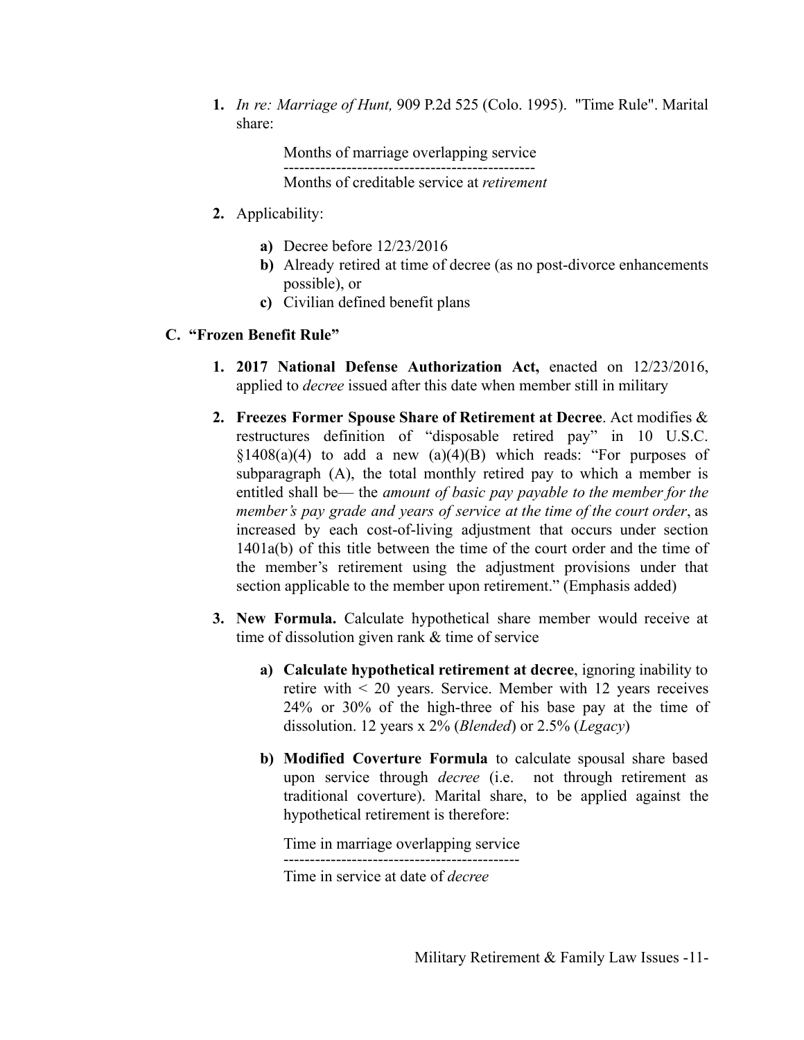**1.** *In re: Marriage of Hunt,* 909 P.2d 525 (Colo. 1995). "Time Rule". Marital share:

> Months of marriage overlapping service ------------------------------------------------ Months of creditable service at *retirement*

- **2.** Applicability:
	- **a)** Decree before 12/23/2016
	- **b)** Already retired at time of decree (as no post-divorce enhancements possible), or
	- **c)** Civilian defined benefit plans

### **C. "Frozen Benefit Rule"**

- **1. 2017 National Defense Authorization Act,** enacted on 12/23/2016, applied to *decree* issued after this date when member still in military
- **2. Freezes Former Spouse Share of Retirement at Decree**. Act modifies & restructures definition of "disposable retired pay" in 10 U.S.C.  $§1408(a)(4)$  to add a new  $(a)(4)(B)$  which reads: "For purposes of subparagraph (A), the total monthly retired pay to which a member is entitled shall be— the *amount of basic pay payable to the member for the member's pay grade and years of service at the time of the court order*, as increased by each cost-of-living adjustment that occurs under section 1401a(b) of this title between the time of the court order and the time of the member's retirement using the adjustment provisions under that section applicable to the member upon retirement." (Emphasis added)
- **3. New Formula.** Calculate hypothetical share member would receive at time of dissolution given rank & time of service
	- **a) Calculate hypothetical retirement at decree**, ignoring inability to retire with < 20 years. Service. Member with 12 years receives 24% or 30% of the high-three of his base pay at the time of dissolution. 12 years x 2% (*Blended*) or 2.5% (*Legacy*)
	- **b) Modified Coverture Formula** to calculate spousal share based upon service through *decree* (i.e. not through retirement as traditional coverture). Marital share, to be applied against the hypothetical retirement is therefore:

Time in marriage overlapping service ---------------------------------------------

Time in service at date of *decree*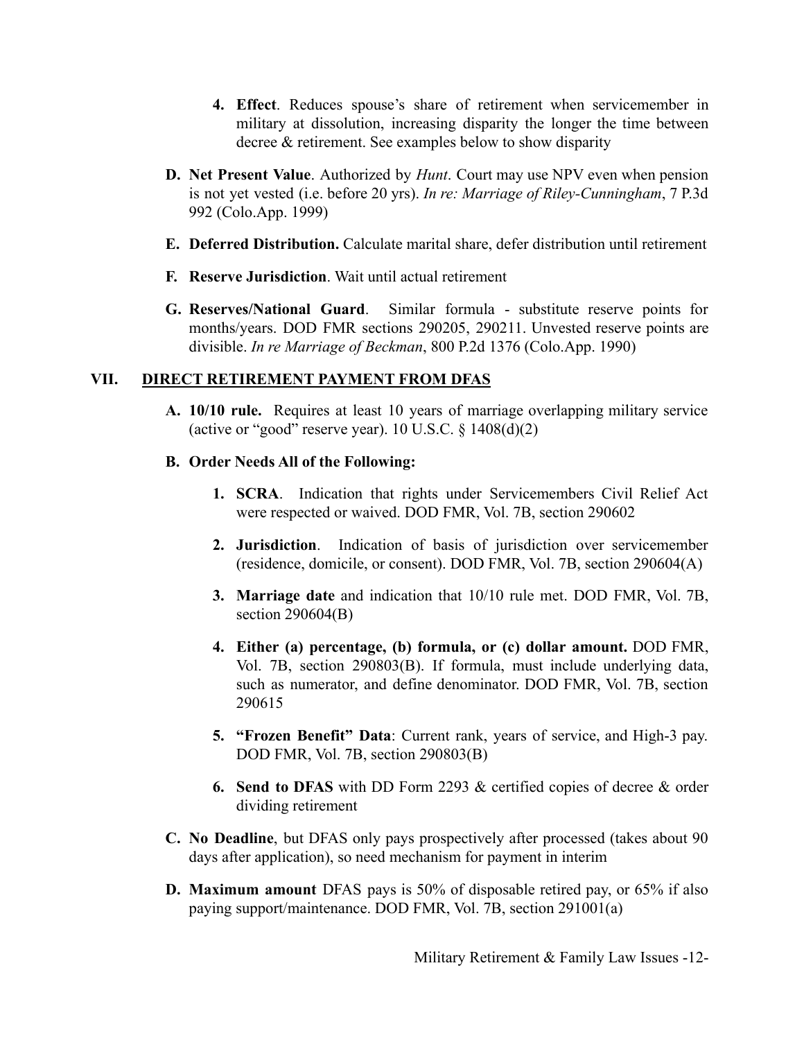- **4. Effect**. Reduces spouse's share of retirement when servicemember in military at dissolution, increasing disparity the longer the time between decree & retirement. See examples below to show disparity
- **D. Net Present Value**. Authorized by *Hunt*. Court may use NPV even when pension is not yet vested (i.e. before 20 yrs). *In re: Marriage of Riley-Cunningham*, 7 P.3d 992 (Colo.App. 1999)
- **E. Deferred Distribution.** Calculate marital share, defer distribution until retirement
- **F. Reserve Jurisdiction**. Wait until actual retirement
- **G. Reserves/National Guard**. Similar formula substitute reserve points for months/years. DOD FMR sections 290205, 290211. Unvested reserve points are divisible. *In re Marriage of Beckman*, 800 P.2d 1376 (Colo.App. 1990)

### **VII. DIRECT RETIREMENT PAYMENT FROM DFAS**

- **A. 10/10 rule.** Requires at least 10 years of marriage overlapping military service (active or "good" reserve year).  $10$  U.S.C.  $\frac{$1408(d)(2)}{2}$
- **B. Order Needs All of the Following:**
	- **1. SCRA**. Indication that rights under Servicemembers Civil Relief Act were respected or waived. DOD FMR, Vol. 7B, section 290602
	- **2. Jurisdiction**. Indication of basis of jurisdiction over servicemember (residence, domicile, or consent). DOD FMR, Vol. 7B, section 290604(A)
	- **3. Marriage date** and indication that 10/10 rule met. DOD FMR, Vol. 7B, section 290604(B)
	- **4. Either (a) percentage, (b) formula, or (c) dollar amount.** DOD FMR, Vol. 7B, section 290803(B). If formula, must include underlying data, such as numerator, and define denominator. DOD FMR, Vol. 7B, section 290615
	- **5. "Frozen Benefit" Data**: Current rank, years of service, and High-3 pay. DOD FMR, Vol. 7B, section 290803(B)
	- **6. Send to DFAS** with DD Form 2293 & certified copies of decree & order dividing retirement
- **C. No Deadline**, but DFAS only pays prospectively after processed (takes about 90 days after application), so need mechanism for payment in interim
- **D. Maximum amount** DFAS pays is 50% of disposable retired pay, or 65% if also paying support/maintenance. DOD FMR, Vol. 7B, section 291001(a)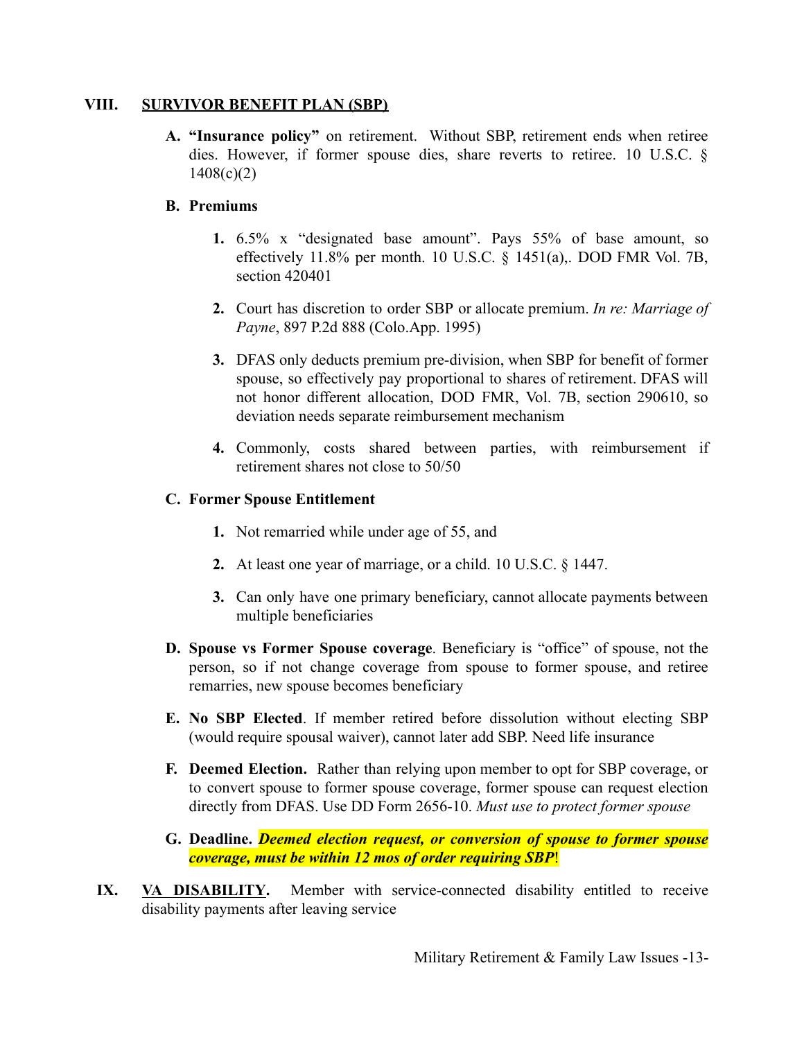#### **VIII. SURVIVOR BENEFIT PLAN (SBP)**

**A. "Insurance policy"** on retirement. Without SBP, retirement ends when retiree dies. However, if former spouse dies, share reverts to retiree. 10 U.S.C. §  $1408(c)(2)$ 

### **B. Premiums**

- **1.** 6.5% x "designated base amount". Pays 55% of base amount, so effectively 11.8% per month. 10 U.S.C. § 1451(a),. DOD FMR Vol. 7B, section 420401
- **2.** Court has discretion to order SBP or allocate premium. *In re: Marriage of Payne*, 897 P.2d 888 (Colo.App. 1995)
- **3.** DFAS only deducts premium pre-division, when SBP for benefit of former spouse, so effectively pay proportional to shares of retirement. DFAS will not honor different allocation, DOD FMR, Vol. 7B, section 290610, so deviation needs separate reimbursement mechanism
- **4.** Commonly, costs shared between parties, with reimbursement if retirement shares not close to 50/50

### **C. Former Spouse Entitlement**

- **1.** Not remarried while under age of 55, and
- **2.** At least one year of marriage, or a child. 10 U.S.C. § 1447.
- **3.** Can only have one primary beneficiary, cannot allocate payments between multiple beneficiaries
- **D. Spouse vs Former Spouse coverage**. Beneficiary is "office" of spouse, not the person, so if not change coverage from spouse to former spouse, and retiree remarries, new spouse becomes beneficiary
- **E. No SBP Elected**. If member retired before dissolution without electing SBP (would require spousal waiver), cannot later add SBP. Need life insurance
- **F. Deemed Election.** Rather than relying upon member to opt for SBP coverage, or to convert spouse to former spouse coverage, former spouse can request election directly from DFAS. Use DD Form 2656-10. *Must use to protect former spouse*
- **G. Deadline.** *Deemed election request, or conversion of spouse to former spouse coverage, must be within 12 mos of order requiring SBP*!
- **IX. VA DISABILITY.** Member with service-connected disability entitled to receive disability payments after leaving service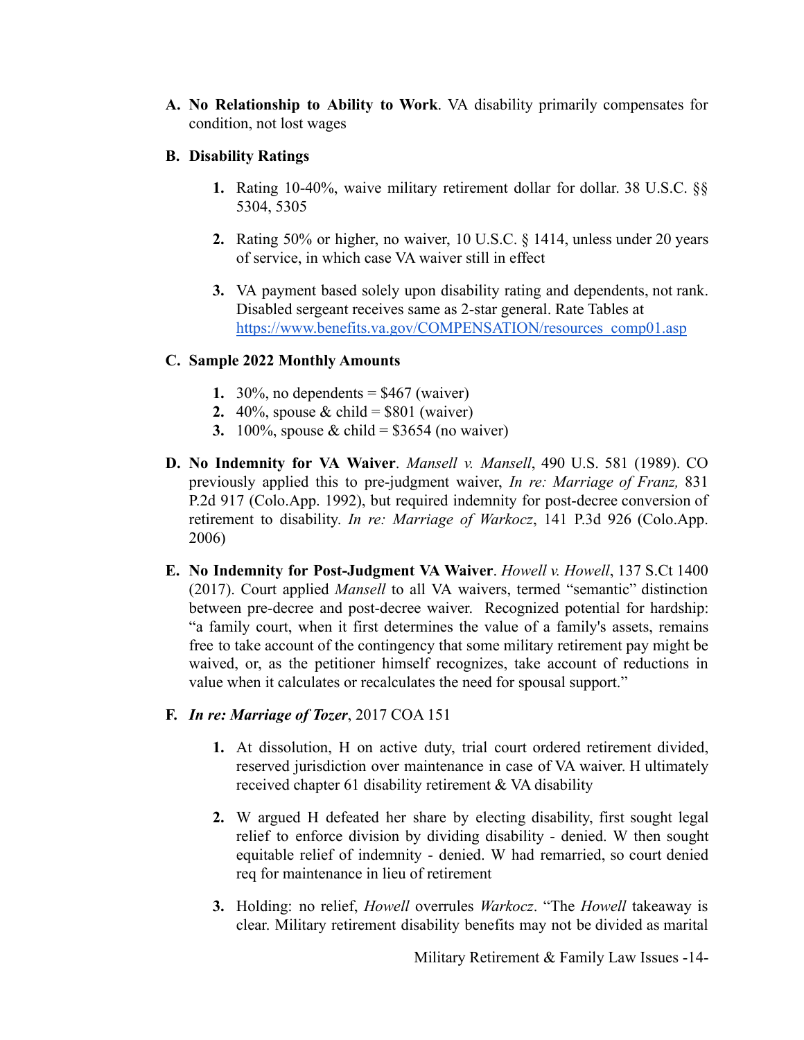- **A. No Relationship to Ability to Work**. VA disability primarily compensates for condition, not lost wages
- **B. Disability Ratings**
	- **1.** Rating 10-40%, waive military retirement dollar for dollar. 38 U.S.C. §§ 5304, 5305
	- **2.** Rating 50% or higher, no waiver, 10 U.S.C. § 1414, unless under 20 years of service, in which case VA waiver still in effect
	- **3.** VA payment based solely upon disability rating and dependents, not rank. Disabled sergeant receives same as 2-star general. Rate Tables at [https://www.benefits.va.gov/COMPENSATION/resources\\_comp01.asp](https://www.benefits.va.gov/COMPENSATION/resources_comp01.asp)

### **C. Sample 2022 Monthly Amounts**

- **1.** 30%, no dependents  $=$  \$467 (waiver)
- **2.** 40%, spouse & child =  $$801$  (waiver)
- **3.** 100%, spouse & child =  $$3654$  (no waiver)
- **D. No Indemnity for VA Waiver**. *Mansell v. Mansell*, 490 U.S. 581 (1989). CO previously applied this to pre-judgment waiver, *In re: Marriage of Franz,* 831 P.2d 917 (Colo.App. 1992), but required indemnity for post-decree conversion of retirement to disability. *In re: Marriage of Warkocz*, 141 P.3d 926 (Colo.App. 2006)
- **E. No Indemnity for Post-Judgment VA Waiver**. *Howell v. Howell*, 137 S.Ct 1400 (2017). Court applied *Mansell* to all VA waivers, termed "semantic" distinction between pre-decree and post-decree waiver. Recognized potential for hardship: "a family court, when it first determines the value of a family's assets, remains free to take account of the contingency that some military retirement pay might be waived, or, as the petitioner himself recognizes, take account of reductions in value when it calculates or recalculates the need for spousal support."
- **F.** *In re: Marriage of Tozer*, 2017 COA 151
	- **1.** At dissolution, H on active duty, trial court ordered retirement divided, reserved jurisdiction over maintenance in case of VA waiver. H ultimately received chapter 61 disability retirement & VA disability
	- **2.** W argued H defeated her share by electing disability, first sought legal relief to enforce division by dividing disability - denied. W then sought equitable relief of indemnity - denied. W had remarried, so court denied req for maintenance in lieu of retirement
	- **3.** Holding: no relief, *Howell* overrules *Warkocz*. "The *Howell* takeaway is clear. Military retirement disability benefits may not be divided as marital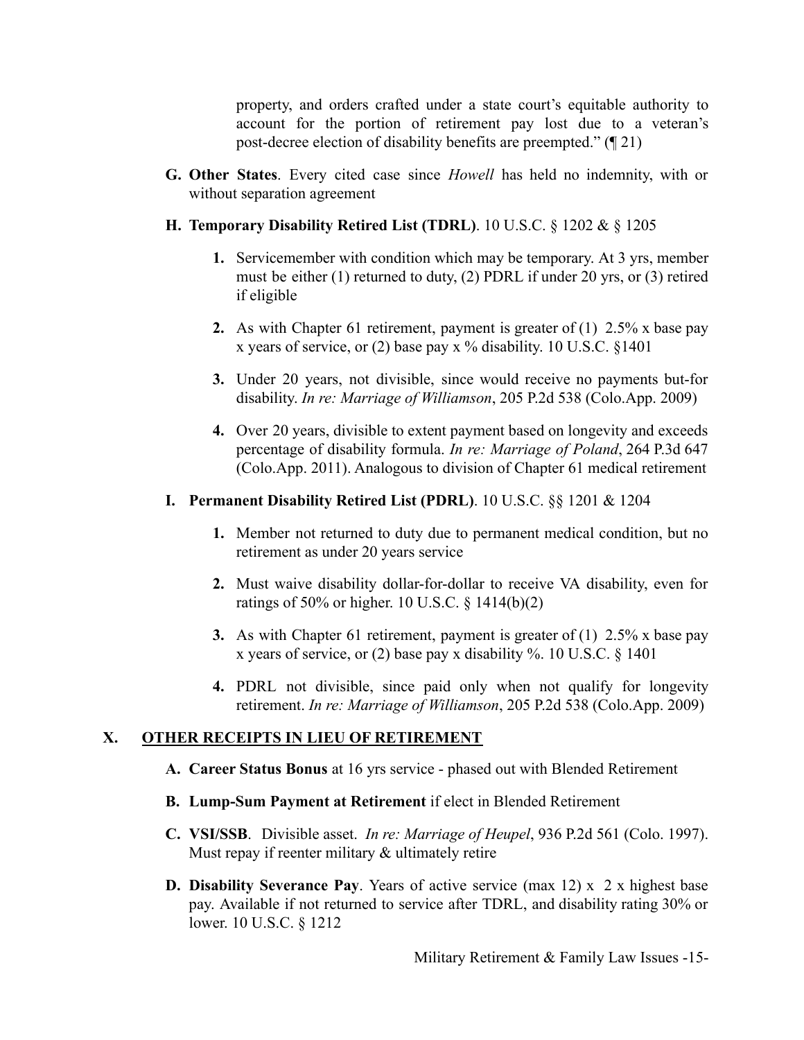property, and orders crafted under a state court's equitable authority to account for the portion of retirement pay lost due to a veteran's post-decree election of disability benefits are preempted." (¶ 21)

- **G. Other States**. Every cited case since *Howell* has held no indemnity, with or without separation agreement
- **H. Temporary Disability Retired List (TDRL)**. 10 U.S.C. § 1202 & § 1205
	- **1.** Servicemember with condition which may be temporary. At 3 yrs, member must be either (1) returned to duty, (2) PDRL if under 20 yrs, or (3) retired if eligible
	- **2.** As with Chapter 61 retirement, payment is greater of (1) 2.5% x base pay x years of service, or  $(2)$  base pay x % disability. 10 U.S.C. §1401
	- **3.** Under 20 years, not divisible, since would receive no payments but-for disability. *In re: Marriage of Williamson*, 205 P.2d 538 (Colo.App. 2009)
	- **4.** Over 20 years, divisible to extent payment based on longevity and exceeds percentage of disability formula. *In re: Marriage of Poland*, 264 P.3d 647 (Colo.App. 2011). Analogous to division of Chapter 61 medical retirement

### **I. Permanent Disability Retired List (PDRL)**. 10 U.S.C. §§ 1201 & 1204

- **1.** Member not returned to duty due to permanent medical condition, but no retirement as under 20 years service
- **2.** Must waive disability dollar-for-dollar to receive VA disability, even for ratings of 50% or higher. 10 U.S.C.  $\frac{1414(b)(2)}{2}$
- **3.** As with Chapter 61 retirement, payment is greater of (1) 2.5% x base pay x years of service, or (2) base pay x disability %. 10 U.S.C. § 1401
- **4.** PDRL not divisible, since paid only when not qualify for longevity retirement. *In re: Marriage of Williamson*, 205 P.2d 538 (Colo.App. 2009)

### **X. OTHER RECEIPTS IN LIEU OF RETIREMENT**

- **A. Career Status Bonus** at 16 yrs service phased out with Blended Retirement
- **B. Lump-Sum Payment at Retirement** if elect in Blended Retirement
- **C. VSI/SSB**. Divisible asset. *In re: Marriage of Heupel*, 936 P.2d 561 (Colo. 1997). Must repay if reenter military & ultimately retire
- **D. Disability Severance Pay**. Years of active service (max 12) x 2 x highest base pay. Available if not returned to service after TDRL, and disability rating 30% or lower. 10 U.S.C. § 1212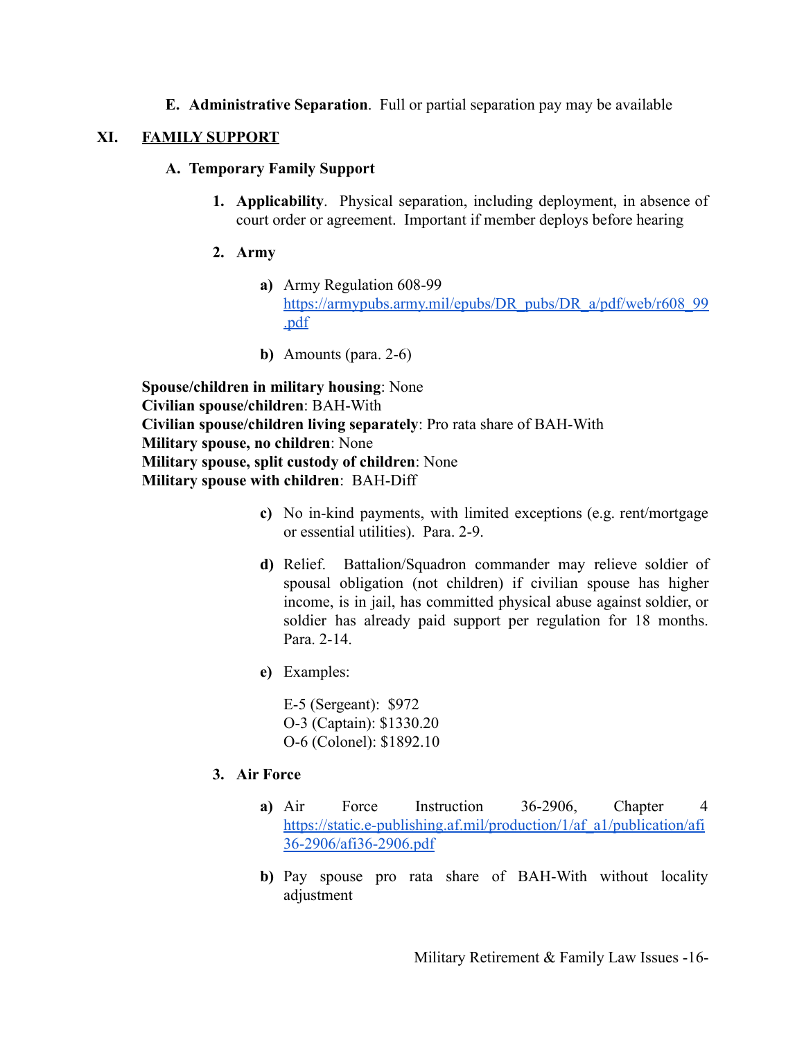**E. Administrative Separation**. Full or partial separation pay may be available

#### **XI. FAMILY SUPPORT**

#### **A. Temporary Family Support**

**1. Applicability**. Physical separation, including deployment, in absence of court order or agreement. Important if member deploys before hearing

#### **2. Army**

- **a)** Army Regulation 608-99 [https://armypubs.army.mil/epubs/DR\\_pubs/DR\\_a/pdf/web/r608\\_99](https://armypubs.army.mil/epubs/DR_pubs/DR_a/pdf/web/r608_99.pdf) [.pdf](https://armypubs.army.mil/epubs/DR_pubs/DR_a/pdf/web/r608_99.pdf)
- **b)** Amounts (para. 2-6)

**Spouse/children in military housing**: None **Civilian spouse/children**: BAH-With **Civilian spouse/children living separately**: Pro rata share of BAH-With **Military spouse, no children**: None **Military spouse, split custody of children**: None **Military spouse with children**: BAH-Diff

- **c)** No in-kind payments, with limited exceptions (e.g. rent/mortgage or essential utilities). Para. 2-9.
- **d)** Relief. Battalion/Squadron commander may relieve soldier of spousal obligation (not children) if civilian spouse has higher income, is in jail, has committed physical abuse against soldier, or soldier has already paid support per regulation for 18 months. Para. 2-14.
- **e)** Examples:

E-5 (Sergeant): \$972 O-3 (Captain): \$1330.20 O-6 (Colonel): \$1892.10

### **3. Air Force**

- **a)** Air Force Instruction 36-2906, Chapter 4 [https://static.e-publishing.af.mil/production/1/af\\_a1/publication/afi](https://static.e-publishing.af.mil/production/1/af_a1/publication/afi36-2906/afi36-2906.pdf) [36-2906/afi36-2906.pdf](https://static.e-publishing.af.mil/production/1/af_a1/publication/afi36-2906/afi36-2906.pdf)
- **b)** Pay spouse pro rata share of BAH-With without locality adjustment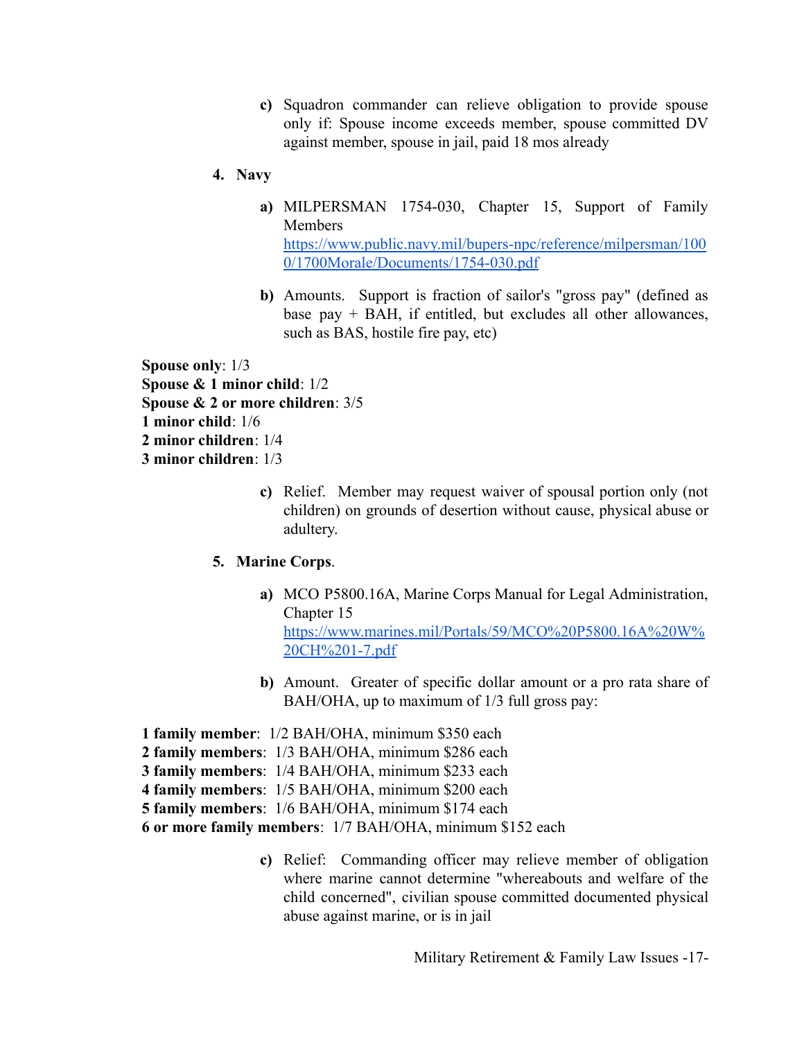- **c)** Squadron commander can relieve obligation to provide spouse only if: Spouse income exceeds member, spouse committed DV against member, spouse in jail, paid 18 mos already
- **4. Navy**
	- **a)** MILPERSMAN 1754-030, Chapter 15, Support of Family **Members** [https://www.public.navy.mil/bupers-npc/reference/milpersman/100](https://www.public.navy.mil/bupers-npc/reference/milpersman/1000/1700Morale/Documents/1754-030.pdf) [0/1700Morale/Documents/1754-030.pdf](https://www.public.navy.mil/bupers-npc/reference/milpersman/1000/1700Morale/Documents/1754-030.pdf)
	- **b)** Amounts. Support is fraction of sailor's "gross pay" (defined as base pay + BAH, if entitled, but excludes all other allowances, such as BAS, hostile fire pay, etc)

**Spouse only**: 1/3 **Spouse & 1 minor child**: 1/2 **Spouse & 2 or more children**: 3/5 **1 minor child**: 1/6 **2 minor children**: 1/4 **3 minor children**: 1/3

> **c)** Relief. Member may request waiver of spousal portion only (not children) on grounds of desertion without cause, physical abuse or adultery.

### **5. Marine Corps**.

- **a)** MCO P5800.16A, Marine Corps Manual for Legal Administration, Chapter 15 [https://www.marines.mil/Portals/59/MCO%20P5800.16A%20W%](https://www.marines.mil/Portals/59/MCO%20P5800.16A%20W%20CH%201-7.pdf) [20CH%201-7.pdf](https://www.marines.mil/Portals/59/MCO%20P5800.16A%20W%20CH%201-7.pdf)
- **b)** Amount. Greater of specific dollar amount or a pro rata share of BAH/OHA, up to maximum of 1/3 full gross pay:
- **1 family member**: 1/2 BAH/OHA, minimum \$350 each
- **2 family members**: 1/3 BAH/OHA, minimum \$286 each
- **3 family members**: 1/4 BAH/OHA, minimum \$233 each
- **4 family members**: 1/5 BAH/OHA, minimum \$200 each
- **5 family members**: 1/6 BAH/OHA, minimum \$174 each

**6 or more family members**: 1/7 BAH/OHA, minimum \$152 each

**c)** Relief: Commanding officer may relieve member of obligation where marine cannot determine "whereabouts and welfare of the child concerned", civilian spouse committed documented physical abuse against marine, or is in jail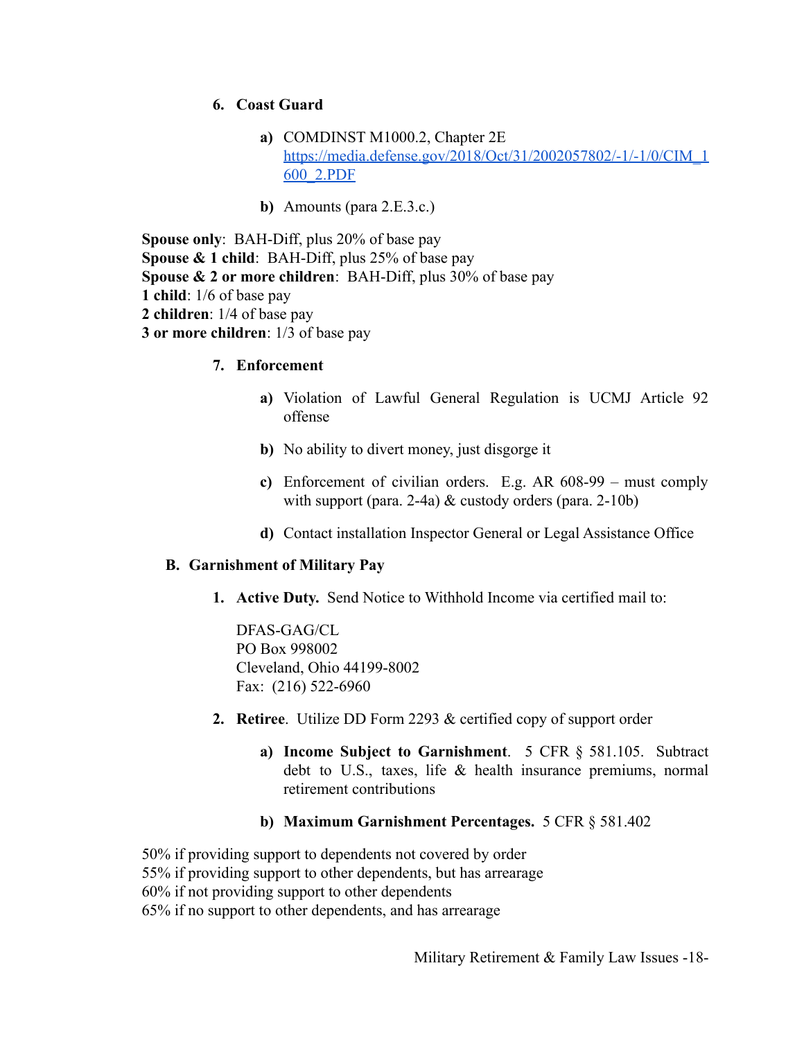#### **6. Coast Guard**

- **a)** COMDINST M1000.2, Chapter 2E [https://media.defense.gov/2018/Oct/31/2002057802/-1/-1/0/CIM\\_1](https://media.defense.gov/2018/Oct/31/2002057802/-1/-1/0/CIM_1600_2.PDF) [600\\_2.PDF](https://media.defense.gov/2018/Oct/31/2002057802/-1/-1/0/CIM_1600_2.PDF)
- **b)** Amounts (para 2.E.3.c.)

**Spouse only**: BAH-Diff, plus 20% of base pay **Spouse & 1 child**: BAH-Diff, plus 25% of base pay **Spouse & 2 or more children**: BAH-Diff, plus 30% of base pay **1 child**: 1/6 of base pay **2 children**: 1/4 of base pay **3 or more children**: 1/3 of base pay

- **7. Enforcement**
	- **a)** Violation of Lawful General Regulation is UCMJ Article 92 offense
	- **b)** No ability to divert money, just disgorge it
	- **c)** Enforcement of civilian orders. E.g. AR 608-99 must comply with support (para. 2-4a) & custody orders (para. 2-10b)
	- **d)** Contact installation Inspector General or Legal Assistance Office

#### **B. Garnishment of Military Pay**

**1. Active Duty.** Send Notice to Withhold Income via certified mail to:

DFAS-GAG/CL PO Box 998002 Cleveland, Ohio 44199-8002 Fax: (216) 522-6960

- **2. Retiree**. Utilize DD Form 2293 & certified copy of support order
	- **a) Income Subject to Garnishment**. 5 CFR § 581.105. Subtract debt to U.S., taxes, life & health insurance premiums, normal retirement contributions
	- **b) Maximum Garnishment Percentages.** 5 CFR § 581.402

50% if providing support to dependents not covered by order 55% if providing support to other dependents, but has arrearage 60% if not providing support to other dependents 65% if no support to other dependents, and has arrearage

Military Retirement & Family Law Issues -18-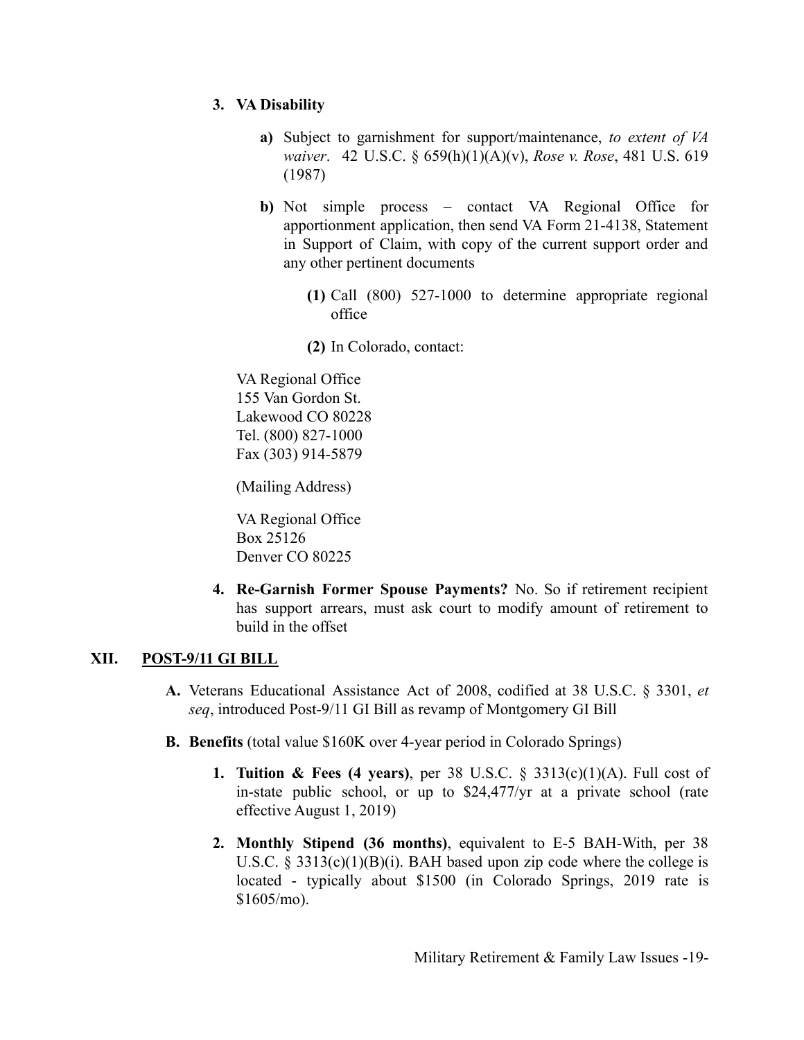### **3. VA Disability**

- **a)** Subject to garnishment for support/maintenance, *to extent of VA waiver*. 42 U.S.C. § 659(h)(1)(A)(v), *Rose v. Rose*, 481 U.S. 619 (1987)
- **b)** Not simple process contact VA Regional Office for apportionment application, then send VA Form 21-4138, Statement in Support of Claim, with copy of the current support order and any other pertinent documents
	- **(1)** Call (800) 527-1000 to determine appropriate regional office
	- **(2)** In Colorado, contact:

VA Regional Office 155 Van Gordon St. Lakewood CO 80228 Tel. (800) 827-1000 Fax (303) 914-5879

(Mailing Address)

VA Regional Office Box 25126 Denver CO 80225

**4. Re-Garnish Former Spouse Payments?** No. So if retirement recipient has support arrears, must ask court to modify amount of retirement to build in the offset

### **XII. POST-9/11 GI BILL**

- **A.** Veterans Educational Assistance Act of 2008, codified at 38 U.S.C. § 3301, *et seq*, introduced Post-9/11 GI Bill as revamp of Montgomery GI Bill
- **B. Benefits** (total value \$160K over 4-year period in Colorado Springs)
	- **1. Tuition & Fees (4 years)**, per 38 U.S.C. § 3313(c)(1)(A). Full cost of in-state public school, or up to \$24,477/yr at a private school (rate effective August 1, 2019)
	- **2. Monthly Stipend (36 months)**, equivalent to E-5 BAH-With, per 38 U.S.C. § 3313(c)(1)(B)(i). BAH based upon zip code where the college is located - typically about \$1500 (in Colorado Springs, 2019 rate is \$1605/mo).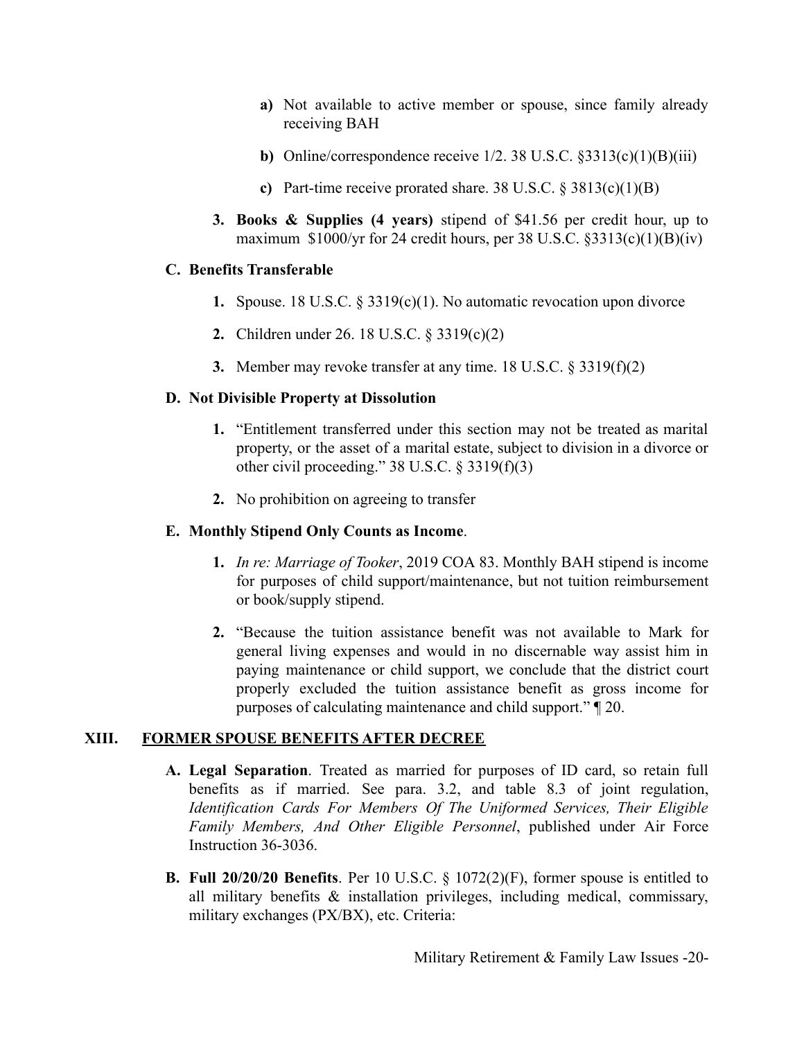- **a)** Not available to active member or spouse, since family already receiving BAH
- **b)** Online/correspondence receive  $1/2$ . 38 U.S.C.  $\S 3313(c)(1)(B)(iii)$
- **c)** Part-time receive prorated share. 38 U.S.C. § 3813(c)(1)(B)
- **3. Books & Supplies (4 years)** stipend of \$41.56 per credit hour, up to maximum  $$1000/yr$  for 24 credit hours, per 38 U.S.C.  $$3313(c)(1)(B)(iv)$

### **C. Benefits Transferable**

- **1.** Spouse. 18 U.S.C. § 3319(c)(1). No automatic revocation upon divorce
- **2.** Children under 26. 18 U.S.C. § 3319(c)(2)
- **3.** Member may revoke transfer at any time. 18 U.S.C. § 3319(f)(2)

### **D. Not Divisible Property at Dissolution**

- **1.** "Entitlement transferred under this section may not be treated as marital property, or the asset of a marital estate, subject to division in a divorce or other civil proceeding." 38 U.S.C. § 3319(f)(3)
- **2.** No prohibition on agreeing to transfer

### **E. Monthly Stipend Only Counts as Income**.

- **1.** *In re: Marriage of Tooker*, 2019 COA 83. Monthly BAH stipend is income for purposes of child support/maintenance, but not tuition reimbursement or book/supply stipend.
- **2.** "Because the tuition assistance benefit was not available to Mark for general living expenses and would in no discernable way assist him in paying maintenance or child support, we conclude that the district court properly excluded the tuition assistance benefit as gross income for purposes of calculating maintenance and child support." ¶ 20.

### **XIII. FORMER SPOUSE BENEFITS AFTER DECREE**

- **A. Legal Separation**. Treated as married for purposes of ID card, so retain full benefits as if married. See para. 3.2, and table 8.3 of joint regulation, *Identification Cards For Members Of The Uniformed Services, Their Eligible Family Members, And Other Eligible Personnel*, published under Air Force Instruction 36-3036.
- **B. Full 20/20/20 Benefits**. Per 10 U.S.C. § 1072(2)(F), former spouse is entitled to all military benefits & installation privileges, including medical, commissary, military exchanges (PX/BX), etc. Criteria: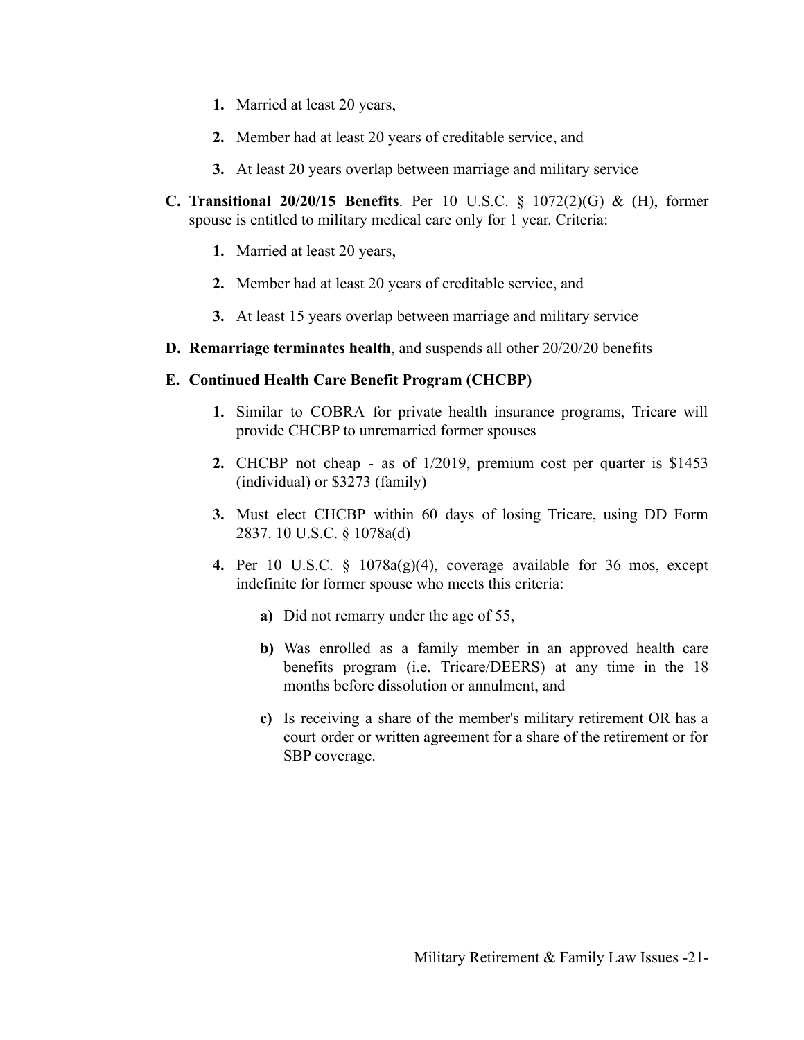- **1.** Married at least 20 years,
- **2.** Member had at least 20 years of creditable service, and
- **3.** At least 20 years overlap between marriage and military service
- **C. Transitional 20/20/15 Benefits**. Per 10 U.S.C. § 1072(2)(G) & (H), former spouse is entitled to military medical care only for 1 year. Criteria:
	- **1.** Married at least 20 years,
	- **2.** Member had at least 20 years of creditable service, and
	- **3.** At least 15 years overlap between marriage and military service
- **D. Remarriage terminates health**, and suspends all other 20/20/20 benefits

#### **E. Continued Health Care Benefit Program (CHCBP)**

- **1.** Similar to COBRA for private health insurance programs, Tricare will provide CHCBP to unremarried former spouses
- **2.** CHCBP not cheap as of 1/2019, premium cost per quarter is \$1453 (individual) or \$3273 (family)
- **3.** Must elect CHCBP within 60 days of losing Tricare, using DD Form 2837. 10 U.S.C. § 1078a(d)
- **4.** Per 10 U.S.C. § 1078a(g)(4), coverage available for 36 mos, except indefinite for former spouse who meets this criteria:
	- **a)** Did not remarry under the age of 55,
	- **b)** Was enrolled as a family member in an approved health care benefits program (i.e. Tricare/DEERS) at any time in the 18 months before dissolution or annulment, and
	- **c)** Is receiving a share of the member's military retirement OR has a court order or written agreement for a share of the retirement or for SBP coverage.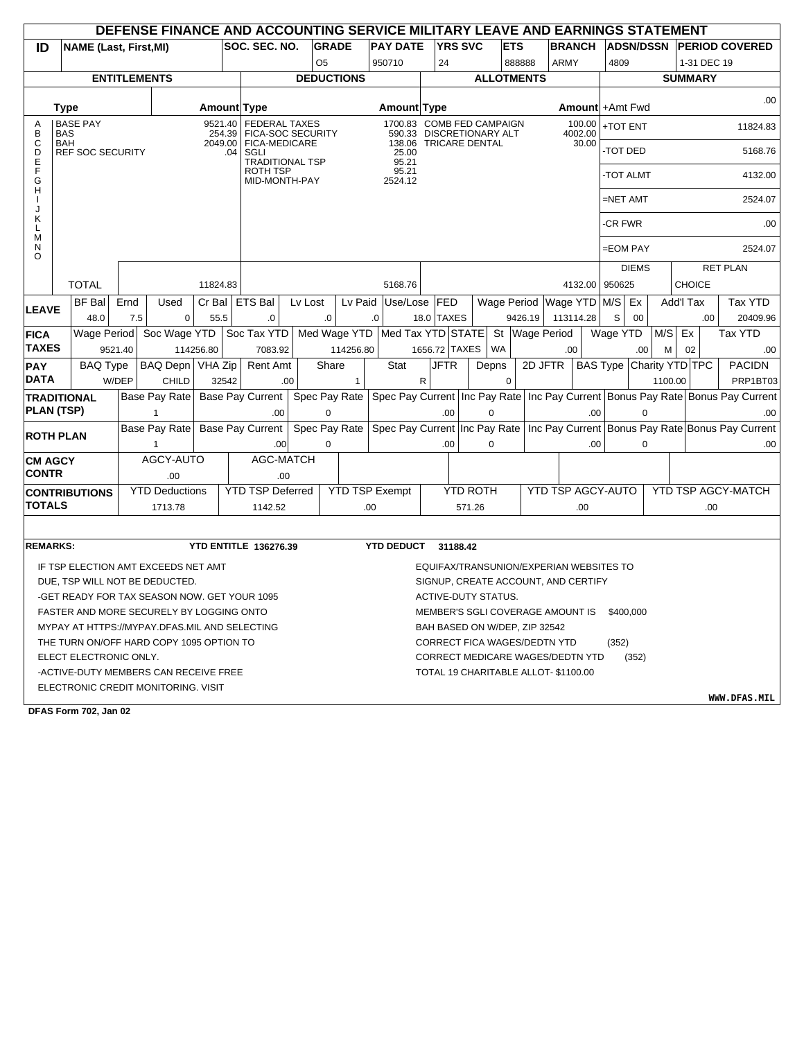|                                |             |                         |         |      | DEFENSE FINANCE AND ACCOUNTING SERVICE MILITARY LEAVE AND EARNINGS STATEMENT |                   |       |                                                 |         |                   |              |                                  |                                         |                 |            |                          |               |                   |                          |              |         |                  |                                                                                    |
|--------------------------------|-------------|-------------------------|---------|------|------------------------------------------------------------------------------|-------------------|-------|-------------------------------------------------|---------|-------------------|--------------|----------------------------------|-----------------------------------------|-----------------|------------|--------------------------|---------------|-------------------|--------------------------|--------------|---------|------------------|------------------------------------------------------------------------------------|
| ID                             |             |                         |         |      | <b>NAME (Last, First, MI)</b>                                                |                   |       | SOC. SEC. NO.                                   |         | <b>GRADE</b>      |              | <b>PAY DATE</b>                  |                                         | <b>YRS SVC</b>  | <b>ETS</b> |                          | <b>BRANCH</b> |                   | <b>ADSN/DSSN</b>         |              |         |                  | <b>PERIOD COVERED</b>                                                              |
|                                |             |                         |         |      |                                                                              |                   |       |                                                 |         | O <sub>5</sub>    |              | 950710                           | 24                                      |                 |            | 888888                   | <b>ARMY</b>   |                   | 4809                     |              |         | 1-31 DEC 19      |                                                                                    |
|                                |             |                         |         |      | <b>ENTITLEMENTS</b>                                                          |                   |       |                                                 |         | <b>DEDUCTIONS</b> |              |                                  |                                         |                 |            | <b>ALLOTMENTS</b>        |               |                   |                          |              |         | <b>SUMMARY</b>   |                                                                                    |
|                                | <b>Type</b> |                         |         |      |                                                                              |                   |       | Amount Type                                     |         |                   |              | Amount Type                      |                                         |                 |            |                          |               |                   | Amount + Amt Fwd         |              |         |                  | .00                                                                                |
| Α<br>B                         | <b>BAS</b>  | <b>BASE PAY</b>         |         |      |                                                                              | 9521.40<br>254.39 |       | <b>FEDERAL TAXES</b><br>FICA-SOC SECURITY       |         |                   |              | 1700.83 COMB FED CAMPAIGN        | 590.33 DISCRETIONARY ALT                |                 |            |                          |               | 100.00<br>4002.00 | +TOT ENT                 |              |         |                  | 11824.83                                                                           |
| C<br>D<br>E                    | BAH         | <b>REF SOC SECURITY</b> |         |      |                                                                              | 2049.00           | .04   | FICA-MEDICARE<br>SGLI<br><b>TRADITIONAL TSP</b> |         |                   |              | 25.00<br>95.21                   | 138.06 TRICARE DENTAL                   |                 |            |                          |               | 30.00             | -TOT DED                 |              |         |                  | 5168.76                                                                            |
| F<br>G<br>н                    |             |                         |         |      |                                                                              |                   |       | ROTH TSP<br>MID-MONTH-PAY                       |         |                   |              | 95.21<br>2524.12                 |                                         |                 |            |                          |               |                   | -TOT ALMT                |              |         |                  | 4132.00                                                                            |
| J                              |             |                         |         |      |                                                                              |                   |       |                                                 |         |                   |              |                                  |                                         |                 |            |                          |               |                   | $=NETAMT$                |              |         |                  | 2524.07                                                                            |
| Κ<br>L<br>M                    |             |                         |         |      |                                                                              |                   |       |                                                 |         |                   |              |                                  |                                         |                 |            |                          |               |                   | <b>CR FWR</b>            |              |         |                  | .00                                                                                |
| N<br>O                         |             |                         |         |      |                                                                              |                   |       |                                                 |         |                   |              |                                  |                                         |                 |            |                          |               |                   | =EOM PAY                 |              |         |                  | 2524.07                                                                            |
|                                |             | <b>TOTAL</b>            |         |      |                                                                              | 11824.83          |       |                                                 |         |                   |              | 5168.76                          |                                         |                 |            |                          |               | 4132.00           | 950625                   | <b>DIEMS</b> |         | <b>CHOICE</b>    | <b>RET PLAN</b>                                                                    |
|                                |             | <b>BF Bal</b>           |         | Ernd | Used                                                                         |                   |       | Cr Bal   ETS Bal                                | Lv Lost |                   | Lv Paid      | Use/Lose                         | <b>FED</b>                              |                 |            | Wage Period Wage YTD M/S |               |                   |                          | Ex           |         | <b>Add'l Tax</b> | <b>Tax YTD</b>                                                                     |
| <b>LEAVE</b>                   |             | 48.0                    |         | 7.5  | $\mathbf 0$                                                                  | 55.5              |       | .0                                              |         | .0                |              | 0.                               | 18.0 TAXES                              |                 |            | 9426.19                  | 113114.28     |                   | S                        | 00           |         | .00.             | 20409.96                                                                           |
| <b>FICA</b>                    |             | Wage Period             |         |      | Soc Wage YTD                                                                 |                   |       | Soc Tax YTD                                     |         | Med Wage YTD      |              | Med Tax YTD STATE St Wage Period |                                         |                 |            |                          |               |                   | Wage YTD                 |              | M/S     | Ex               | Tax YTD                                                                            |
| <b>TAXES</b>                   |             |                         | 9521.40 |      |                                                                              | 114256.80         |       | 7083.92                                         |         |                   | 114256.80    |                                  | 1656.72 TAXES                           |                 | <b>WA</b>  |                          | .00           |                   |                          | .00          | М       | 02               | .00                                                                                |
| <b>PAY</b>                     |             | <b>BAQ Type</b>         |         |      | BAQ Depn   VHA Zip                                                           |                   |       | Rent Amt                                        |         | Share             |              | Stat                             | <b>JFTR</b>                             |                 | Depns      | 2D JFTR                  |               |                   | BAS Type Charity YTD TPC |              |         |                  | <b>PACIDN</b>                                                                      |
| <b>DATA</b>                    |             |                         | W/DEP   |      | <b>CHILD</b>                                                                 |                   | 32542 |                                                 | .00     |                   | $\mathbf{1}$ |                                  | $\mathsf{R}$                            |                 | $\Omega$   |                          |               |                   |                          |              | 1100.00 |                  | PRP1BT03                                                                           |
| <b>TRADITIONAL</b>             |             |                         |         |      | Base Pay Rate                                                                |                   |       | Base Pay Current                                |         | Spec Pay Rate     |              | Spec Pay Current   Inc Pay Rate  |                                         |                 |            |                          |               |                   |                          |              |         |                  | Inc Pay Current Bonus Pay Rate Bonus Pay Current                                   |
| <b>PLAN (TSP)</b>              |             |                         |         |      | 1                                                                            |                   |       | .00.                                            |         | $\Omega$          |              |                                  | .00                                     |                 | $\Omega$   |                          |               | .00.              |                          | $\Omega$     |         |                  | .00                                                                                |
| <b>ROTH PLAN</b>               |             |                         |         |      | Base Pay Rate                                                                |                   |       | <b>Base Pay Current</b>                         |         | Spec Pay Rate     |              |                                  |                                         |                 |            |                          |               |                   |                          |              |         |                  | Spec Pay Current Inc Pay Rate   Inc Pay Current   Bonus Pay Rate Bonus Pay Current |
|                                |             |                         |         |      | $\mathbf{1}$                                                                 |                   |       | .00                                             |         | $\Omega$          |              |                                  | .00.                                    |                 | $\Omega$   |                          |               | .00               |                          | $\Omega$     |         |                  | .00                                                                                |
| <b>CM AGCY</b><br><b>CONTR</b> |             |                         |         |      | AGCY-AUTO<br>.00                                                             |                   |       | AGC-MATCH<br>.00                                |         |                   |              |                                  |                                         |                 |            |                          |               |                   |                          |              |         |                  |                                                                                    |
| <b>CONTRIBUTIONS</b>           |             |                         |         |      | <b>YTD Deductions</b>                                                        |                   |       | <b>YTD TSP Deferred</b>                         |         |                   |              | <b>YTD TSP Exempt</b>            |                                         | <b>YTD ROTH</b> |            |                          |               |                   | YTD TSP AGCY-AUTO        |              |         |                  | YTD TSP AGCY-MATCH                                                                 |
| <b>TOTALS</b>                  |             |                         |         |      | 1713.78                                                                      |                   |       | 1142.52                                         |         |                   | .00          |                                  |                                         | 571.26          |            |                          |               | .00               |                          |              |         |                  | .00                                                                                |
|                                |             |                         |         |      |                                                                              |                   |       |                                                 |         |                   |              |                                  |                                         |                 |            |                          |               |                   |                          |              |         |                  |                                                                                    |
| <b>REMARKS:</b>                |             |                         |         |      |                                                                              |                   |       | YTD ENTITLE 136276.39                           |         |                   |              | <b>YTD DEDUCT</b>                |                                         | 31188.42        |            |                          |               |                   |                          |              |         |                  |                                                                                    |
|                                |             |                         |         |      | IF TSP ELECTION AMT EXCEEDS NET AMT                                          |                   |       |                                                 |         |                   |              |                                  | EQUIFAX/TRANSUNION/EXPERIAN WEBSITES TO |                 |            |                          |               |                   |                          |              |         |                  |                                                                                    |
|                                |             |                         |         |      | DUE, TSP WILL NOT BE DEDUCTED.                                               |                   |       |                                                 |         |                   |              |                                  | SIGNUP, CREATE ACCOUNT, AND CERTIFY     |                 |            |                          |               |                   |                          |              |         |                  |                                                                                    |
|                                |             |                         |         |      | -GET READY FOR TAX SEASON NOW. GET YOUR 1095                                 |                   |       |                                                 |         |                   |              |                                  | ACTIVE-DUTY STATUS.                     |                 |            |                          |               |                   |                          |              |         |                  |                                                                                    |
|                                |             |                         |         |      | FASTER AND MORE SECURELY BY LOGGING ONTO                                     |                   |       |                                                 |         |                   |              |                                  | MEMBER'S SGLI COVERAGE AMOUNT IS        |                 |            |                          |               |                   | \$400.000                |              |         |                  |                                                                                    |
|                                |             |                         |         |      | MYPAY AT HTTPS://MYPAY.DFAS.MIL AND SELECTING                                |                   |       |                                                 |         |                   |              |                                  | BAH BASED ON W/DEP, ZIP 32542           |                 |            |                          |               |                   |                          |              |         |                  |                                                                                    |
|                                |             |                         |         |      | THE TURN ON/OFF HARD COPY 1095 OPTION TO                                     |                   |       |                                                 |         |                   |              |                                  | CORRECT FICA WAGES/DEDTN YTD            |                 |            |                          |               |                   | (352)                    |              |         |                  |                                                                                    |
|                                |             | ELECT ELECTRONIC ONLY.  |         |      |                                                                              |                   |       |                                                 |         |                   |              |                                  | CORRECT MEDICARE WAGES/DEDTN YTD        |                 |            |                          |               |                   |                          | (352)        |         |                  |                                                                                    |
|                                |             |                         |         |      | -ACTIVE-DUTY MEMBERS CAN RECEIVE FREE                                        |                   |       |                                                 |         |                   |              |                                  | TOTAL 19 CHARITABLE ALLOT- \$1100.00    |                 |            |                          |               |                   |                          |              |         |                  |                                                                                    |
|                                |             |                         |         |      | ELECTRONIC CREDIT MONITORING. VISIT                                          |                   |       |                                                 |         |                   |              |                                  |                                         |                 |            |                          |               |                   |                          |              |         |                  | <b>WWW.DRAC</b>                                                                    |

**DFAS Form 702, Jan 02**

**WWW.DFAS.MIL**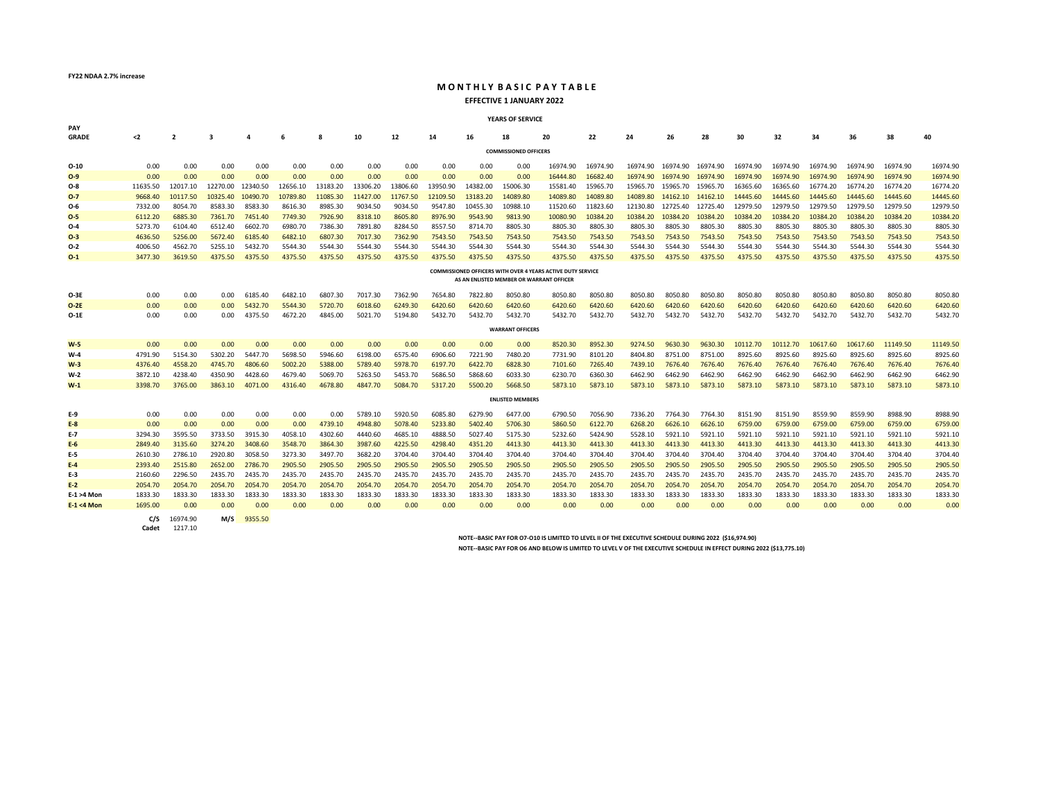**FY22 NDAA 2.7% increase**

#### **MONTHLY BASIC PAY TABLE EFFECTIVE 1 JANUARY 2022**

#### **YEARS OF SERVICE**

| PAY           |              |                     |          |          |          |          |          |          |          |          |                                          |                                                             |          |                   |                   |          |          |          |          |          |          |          |
|---------------|--------------|---------------------|----------|----------|----------|----------|----------|----------|----------|----------|------------------------------------------|-------------------------------------------------------------|----------|-------------------|-------------------|----------|----------|----------|----------|----------|----------|----------|
| <b>GRADE</b>  | $2$          | $\overline{2}$      | 3        | A        | 6        | 8        | 10       | 12       | 14       | 16       | 18                                       | 20                                                          | 22       | 24                | 26                | 28       | 30       | 32       | 34       | 36       | 38       | 40       |
|               |              |                     |          |          |          |          |          |          |          |          |                                          |                                                             |          |                   |                   |          |          |          |          |          |          |          |
|               |              |                     |          |          |          |          |          |          |          |          | <b>COMMISSIONED OFFICERS</b>             |                                                             |          |                   |                   |          |          |          |          |          |          |          |
| $O-10$        | 0.00         | 0.00                | 0.00     | 0.00     | 0.00     | 0.00     | 0.00     | 0.00     | 0.00     | 0.00     | 0.00                                     | 16974.90                                                    | 16974.90 |                   | 16974.90 16974.90 | 16974.90 | 16974.90 | 16974.90 | 16974.90 | 16974.90 | 16974.90 | 16974.90 |
| $O-9$         | 0.00         | 0.00                | 0.00     | 0.00     | 0.00     | 0.00     | 0.00     | 0.00     | 0.00     | 0.00     | 0.00                                     | 16444.80                                                    | 16682.40 | 16974.90          | 16974.90          | 16974.90 | 16974.90 | 16974.90 | 16974.90 | 16974.90 | 16974.90 | 16974.90 |
| $O-8$         | 11635.50     | 12017.10            | 12270.00 | 12340.50 | 12656.10 | 13183.20 | 13306.20 | 13806.60 | 13950.90 | 14382.00 | 15006.30                                 | 15581.40                                                    | 15965.70 | 15965.70 15965.70 |                   | 15965.70 | 16365.60 | 16365.60 | 16774.20 | 16774.20 | 16774.20 | 16774.20 |
| $O-7$         | 9668.40      | 10117.50            | 10325.40 | 10490.70 | 10789.80 | 11085.30 | 11427.00 | 11767.50 | 12109.50 | 13183.20 | 14089.80                                 | 14089.80                                                    | 14089.80 | 14089.80          | 14162.10          | 14162.10 | 14445.60 | 14445.60 | 14445.60 | 14445.60 | 14445.60 | 14445.60 |
| $O-6$         | 7332.00      | 8054.70             | 8583.30  | 8583.30  | 8616.30  | 8985.30  | 9034.50  | 9034.50  | 9547.80  | 10455.30 | 10988.10                                 | 11520.60                                                    | 11823.60 | 12130.80          | 12725.40          | 12725.40 | 12979.50 | 12979.50 | 12979.50 | 12979.50 | 12979.50 | 12979.50 |
| $O-5$         | 6112.20      | 6885.30             | 7361.70  | 7451.40  | 7749.30  | 7926.90  | 8318.10  | 8605.80  | 8976.90  | 9543.90  | 9813.90                                  | 10080.90                                                    | 10384.20 | 10384.20          | 10384.20          | 10384.20 | 10384.20 | 10384.20 | 10384.20 | 10384.20 | 10384.20 | 10384.20 |
| $O-4$         | 5273.70      | 6104.40             | 6512.40  | 6602.70  | 6980.70  | 7386.30  | 7891.80  | 8284.50  | 8557.50  | 8714.70  | 8805.30                                  | 8805.30                                                     | 8805.30  | 8805.30           | 8805.30           | 8805.30  | 8805.30  | 8805.30  | 8805.30  | 8805.30  | 8805.30  | 8805.30  |
| $O-3$         | 4636.50      | 5256.00             | 5672.40  | 6185.40  | 6482.10  | 6807.30  | 7017.30  | 7362.90  | 7543.50  | 7543.50  | 7543.50                                  | 7543.50                                                     | 7543.50  | 7543.50           | 7543.50           | 7543.50  | 7543.50  | 7543.50  | 7543.50  | 7543.50  | 7543.50  | 7543.50  |
| $O-2$         | 4006.50      | 4562.70             | 5255.10  | 5432.70  | 5544.30  | 5544.30  | 5544.30  | 5544.30  | 5544.30  | 5544.30  | 5544.30                                  | 5544.30                                                     | 5544.30  | 5544.30           | 5544.30           | 5544.30  | 5544.30  | 5544.30  | 5544.30  | 5544.30  | 5544.30  | 5544.30  |
| $O-1$         | 3477.30      | 3619.50             | 4375.50  | 4375.50  | 4375.50  | 4375.50  | 4375.50  | 4375.50  | 4375.50  | 4375.50  | 4375.50                                  | 4375.50                                                     | 4375.50  | 4375.50           | 4375.50           | 4375.50  | 4375.50  | 4375.50  | 4375.50  | 4375.50  | 4375.50  | 4375.50  |
|               |              |                     |          |          |          |          |          |          |          |          |                                          | COMMISSIONED OFFICERS WITH OVER 4 YEARS ACTIVE DUTY SERVICE |          |                   |                   |          |          |          |          |          |          |          |
|               |              |                     |          |          |          |          |          |          |          |          | AS AN ENLISTED MEMBER OR WARRANT OFFICER |                                                             |          |                   |                   |          |          |          |          |          |          |          |
| O-3E          | 0.00         | 0.00                | 0.00     | 6185.40  | 6482.10  | 6807.30  | 7017.30  | 7362.90  | 7654.80  | 7822.80  | 8050.80                                  | 8050.80                                                     | 8050.80  | 8050.80           | 8050.80           | 8050.80  | 8050.80  | 8050.80  | 8050.80  | 8050.80  | 8050.80  | 8050.80  |
| $O-2E$        | 0.00         | 0.00                | 0.00     | 5432.70  | 5544.30  | 5720.70  | 6018.60  | 6249.30  | 6420.60  | 6420.60  | 6420.60                                  | 6420.60                                                     | 6420.60  | 6420.60           | 6420.60           | 6420.60  | 6420.60  | 6420.60  | 6420.60  | 6420.60  | 6420.60  | 6420.60  |
| $O-1E$        | 0.00         | 0.00                | 0.00     | 4375.50  | 4672.20  | 4845.00  | 5021.70  | 5194.80  | 5432.70  | 5432.70  | 5432.70                                  | 5432.70                                                     | 5432.70  | 5432.70           | 5432.70           | 5432.70  | 5432.70  | 5432.70  | 5432.70  | 5432.70  | 5432.70  | 5432.70  |
|               |              |                     |          |          |          |          |          |          |          |          |                                          |                                                             |          |                   |                   |          |          |          |          |          |          |          |
|               |              |                     |          |          |          |          |          |          |          |          | <b>WARRANT OFFICERS</b>                  |                                                             |          |                   |                   |          |          |          |          |          |          |          |
| $W-5$         | 0.00         | 0.00                | 0.00     | 0.00     | 0.00     | 0.00     | 0.00     | 0.00     | 0.00     | 0.00     | 0.00                                     | 8520.30                                                     | 8952.30  | 9274.50           | 9630.30           | 9630.30  | 10112.70 | 10112.70 | 10617.60 | 10617.60 | 11149.50 | 11149.50 |
| $W-4$         | 4791.90      | 5154.30             | 5302.20  | 5447.70  | 5698.50  | 5946.60  | 6198.00  | 6575.40  | 6906.60  | 7221.90  | 7480.20                                  | 7731.90                                                     | 8101.20  | 8404.80           | 8751.00           | 8751.00  | 8925.60  | 8925.60  | 8925.60  | 8925.60  | 8925.60  | 8925.60  |
| $W-3$         | 4376.40      | 4558.20             | 4745.70  | 4806.60  | 5002.20  | 5388.00  | 5789.40  | 5978.70  | 6197.70  | 6422.70  | 6828.30                                  | 7101.60                                                     | 7265.40  | 7439.10           | 7676.40           | 7676.40  | 7676.40  | 7676.40  | 7676.40  | 7676.40  | 7676.40  | 7676.40  |
| W-2           | 3872.10      | 4238.40             | 4350.90  | 4428.60  | 4679.40  | 5069.70  | 5263.50  | 5453.70  | 5686.50  | 5868.60  | 6033.30                                  | 6230.70                                                     | 6360.30  | 6462.90           | 6462.90           | 6462.90  | 6462.90  | 6462.90  | 6462.90  | 6462.90  | 6462.90  | 6462.90  |
| $W-1$         | 3398.70      | 3765.00             | 3863.10  | 4071.00  | 4316.40  | 4678.80  | 4847.70  | 5084.70  | 5317.20  | 5500.20  | 5668.50                                  | 5873.10                                                     | 5873.10  | 5873.10           | 5873.10           | 5873.10  | 5873.10  | 5873.10  | 5873.10  | 5873.10  | 5873.10  | 5873.10  |
|               |              |                     |          |          |          |          |          |          |          |          | <b>ENLISTED MEMBERS</b>                  |                                                             |          |                   |                   |          |          |          |          |          |          |          |
|               |              |                     |          |          |          |          |          |          |          |          |                                          |                                                             |          |                   |                   |          |          |          |          |          |          |          |
| E-9           | 0.00         | 0.00                | 0.00     | 0.00     | 0.00     | 0.00     | 5789.10  | 5920.50  | 6085.80  | 6279.90  | 6477.00                                  | 6790.50                                                     | 7056.90  | 7336.20           | 7764.30           | 7764.30  | 8151.90  | 8151.90  | 8559.90  | 8559.90  | 8988.90  | 8988.90  |
| $E-8$         | 0.00         | 0.00                | 0.00     | 0.00     | 0.00     | 4739.10  | 4948.80  | 5078.40  | 5233.80  | 5402.40  | 5706.30                                  | 5860.50                                                     | 6122.70  | 6268.20           | 6626.10           | 6626.10  | 6759.00  | 6759.00  | 6759.00  | 6759.00  | 6759.00  | 6759.00  |
| $E-7$         | 3294.30      | 3595.50             | 3733.50  | 3915.30  | 4058.10  | 4302.60  | 4440.60  | 4685.10  | 4888.50  | 5027.40  | 5175.30                                  | 5232.60                                                     | 5424.90  | 5528.10           | 5921.10           | 5921.10  | 5921.10  | 5921.10  | 5921.10  | 5921.10  | 5921.10  | 5921.10  |
| $E-6$         | 2849.40      | 3135.60             | 3274.20  | 3408.60  | 3548.70  | 3864.30  | 3987.60  | 4225.50  | 4298.40  | 4351.20  | 4413.30                                  | 4413.30                                                     | 4413.30  | 4413.30           | 4413.30           | 4413.30  | 4413.30  | 4413.30  | 4413.30  | 4413.30  | 4413.30  | 4413.30  |
| E-5           | 2610.30      | 2786.10             | 2920.80  | 3058.50  | 3273.30  | 3497.70  | 3682.20  | 3704.40  | 3704.40  | 3704.40  | 3704.40                                  | 3704.40                                                     | 3704.40  | 3704.40           | 3704.40           | 3704.40  | 3704.40  | 3704.40  | 3704.40  | 3704.40  | 3704.40  | 3704.40  |
| $E-4$         | 2393.40      | 2515.80             | 2652.00  | 2786.70  | 2905.50  | 2905.50  | 2905.50  | 2905.50  | 2905.50  | 2905.50  | 2905.50                                  | 2905.50                                                     | 2905.50  | 2905.50           | 2905.50           | 2905.50  | 2905.50  | 2905.50  | 2905.50  | 2905.50  | 2905.50  | 2905.50  |
| E-3           | 2160.60      | 2296.50             | 2435.70  | 2435.70  | 2435.70  | 2435.70  | 2435.70  | 2435.70  | 2435.70  | 2435.70  | 2435.70                                  | 2435.70                                                     | 2435.70  | 2435.70           | 2435.70           | 2435.70  | 2435.70  | 2435.70  | 2435.70  | 2435.70  | 2435.70  | 2435.70  |
| $E-2$         | 2054.70      | 2054.70             | 2054.70  | 2054.70  | 2054.70  | 2054.70  | 2054.70  | 2054.70  | 2054.70  | 2054.70  | 2054.70                                  | 2054.70                                                     | 2054.70  | 2054.70           | 2054.70           | 2054.70  | 2054.70  | 2054.70  | 2054.70  | 2054.70  | 2054.70  | 2054.70  |
| $E-1 > 4$ Mon | 1833.30      | 1833.30             | 1833.30  | 1833.30  | 1833.30  | 1833.30  | 1833.30  | 1833.30  | 1833.30  | 1833.30  | 1833.30                                  | 1833.30                                                     | 1833.30  | 1833.30           | 1833.30           | 1833.30  | 1833.30  | 1833.30  | 1833.30  | 1833.30  | 1833.30  | 1833.30  |
| $E-1 < 4$ Mon | 1695.00      | 0.00                | 0.00     | 0.00     | 0.00     | 0.00     | 0.00     | 0.00     | 0.00     | 0.00     | 0.00                                     | 0.00                                                        | 0.00     | 0.00              | 0.00              | 0.00     | 0.00     | 0.00     | 0.00     | 0.00     | 0.00     | 0.00     |
|               | C/S<br>Cadet | 16974.90<br>1217.10 | M/S      | 9355.50  |          |          |          |          |          |          |                                          |                                                             |          |                   |                   |          |          |          |          |          |          |          |

**NOTE--BASIC PAY FOR O7-O10 IS LIMITED TO LEVEL II OF THE EXECUTIVE SCHEDULE DURING 2022 (\$16,974.90)**

**NOTE--BASIC PAY FOR O6 AND BELOW IS LIMITED TO LEVEL V OF THE EXECUTIVE SCHEDULE IN EFFECT DURING 2022 (\$13,775.10)**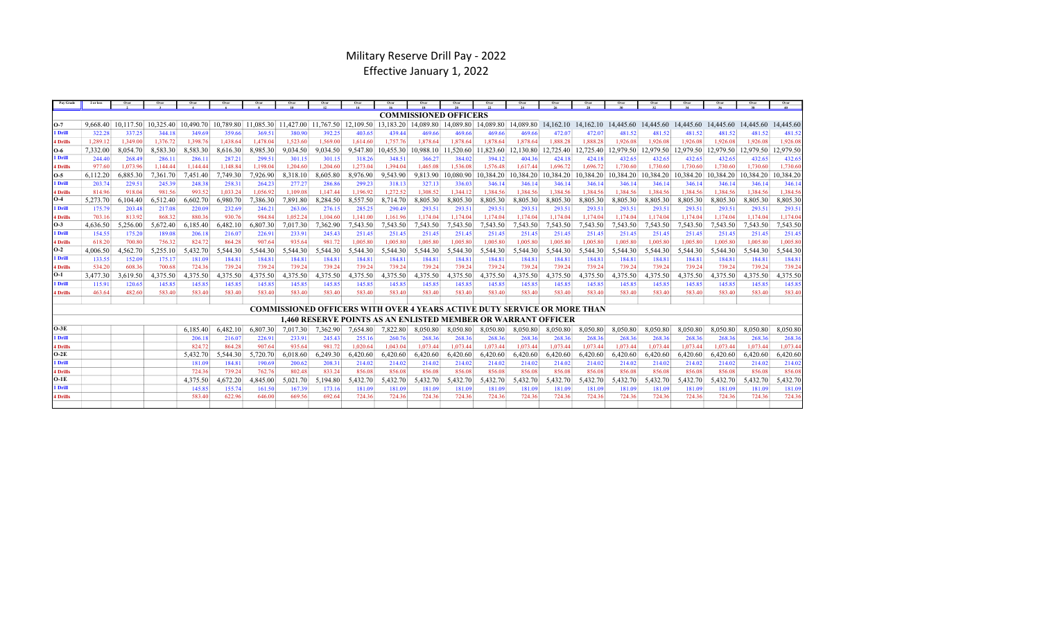## Military Reserve Drill Pay - 2022 Effective January 1, 2022

| Pay Grade       | 2 or less |          |                                        |          |          | Over     |          | Over     | Over     | Over                                                                            | Over                         | Over      | Over      | Over      | Over      |           |           |           | Over      | Over      | Over                                                                                                                                                                                                                            | Over      |
|-----------------|-----------|----------|----------------------------------------|----------|----------|----------|----------|----------|----------|---------------------------------------------------------------------------------|------------------------------|-----------|-----------|-----------|-----------|-----------|-----------|-----------|-----------|-----------|---------------------------------------------------------------------------------------------------------------------------------------------------------------------------------------------------------------------------------|-----------|
|                 |           |          |                                        |          |          |          |          |          |          |                                                                                 | <b>COMMISSIONED OFFICERS</b> |           |           |           |           |           |           |           |           |           |                                                                                                                                                                                                                                 |           |
| O-7             |           |          | 9.668.40 10.117.50 10.325.40 10.490.70 |          |          |          |          |          |          |                                                                                 |                              |           |           |           |           |           |           |           |           |           | 10,789.80 11,085.30 11,427.00 11,767.50 12,109.50 13,183.20 14,089.80 14,089.80 14,089.80 14,089.80 14,162.10 14,162.10 14,445.60 14,445.60 14,445.60 14,445.60 14,445.60 14,445.60 14,445.60 14,445.60 14,445.60 14,445.60 14, |           |
| l Drill         | 322.28    | 337.25   | 344.18                                 | 349.69   | 359.66   | 369.51   | 380.90   | 392.25   | 403.65   | 439.44                                                                          | 469.66                       | 469.66    | 469.66    | 469.66    | 472.07    | 472.07    | 481.52    | 481.52    | 481.52    | 481.52    | 481.52                                                                                                                                                                                                                          | 481.52    |
| 4 Drills        | 1.289.12  | 1.349.00 | 1.376.72                               | 1,398.76 | 1.438.64 | 1,478.04 | 1.523.60 | 1.569.00 | 1,614.60 | 1,757.76                                                                        | 1,878.64                     | 1,878.64  | 1,878.64  | 1,878.64  | 1.888.28  | 1.888.28  | 1.926.08  | 1.926.08  | 1.926.08  | 1.926.08  | 1.926.08                                                                                                                                                                                                                        | 1.926.08  |
| 0-6             | 7,332.00  | 8,054.70 | 8,583.30                               | 8,583.30 | 8,616.30 | 8,985.30 | 9,034.50 | 9.034.50 | 9,547.80 | 10.455.30                                                                       | 10.988.10                    | 11.520.60 | 11.823.60 | 12.130.80 | 12,725.40 | 12,725.40 | 12,979.50 | 12,979.50 | 12,979.50 | 12.979.50 | 12,979.50                                                                                                                                                                                                                       | 12,979.50 |
| l Drill         | 244.40    | 268.49   | 286.11                                 | 286.11   | 287.21   | 299.51   | 301.15   | 301.15   | 318.26   | 348.51                                                                          | 366.27                       | 384.02    | 394.12    | 404.36    | 424.18    | 424.18    | 432.65    | 432.65    | 432.65    | 432.65    | 432.65                                                                                                                                                                                                                          | 432.65    |
| 4 Drills        | 977.60    | 1,073.96 | 1,144.44                               | 1,144.44 | 1,148.84 | 1,198.04 | 1,204.60 | 1,204.60 | 1,273.04 | 1,394.04                                                                        | 1,465.08                     | 1,536.08  | 1,576.48  | 1,617.44  | 1,696.72  | 1,696.72  | 1,730.60  | 1,730.60  | 1,730.60  | 1,730.60  | 1,730.60                                                                                                                                                                                                                        | 1,730.60  |
| O-5             | 6,112.20  | 6,885.30 | 7.361.70                               | 7.451.40 | 7,749.30 | 7,926.90 | 8,318.10 | 8,605.80 | 8,976.90 | 9,543.90                                                                        | 9,813.90                     | 10,080.90 | 10.384.20 | 10.384.20 | 10,384.20 | 10,384.20 | 10,384.20 | 10,384.20 | 10,384.20 | 10.384.20 | 10.384.20                                                                                                                                                                                                                       | 10,384.20 |
| l Drill         | 203.74    | 229.51   | 245.39                                 | 248.38   | 258.31   | 264.23   | 277.27   | 286.86   | 299.23   | 318.13                                                                          | 327.13                       | 336.03    | 346.14    | 346.14    | 346.14    | 346.14    | 346.14    | 346.14    | 346.14    | 346.14    | 346.14                                                                                                                                                                                                                          | 346.14    |
| 4 Drills        | 814.96    | 918.04   | 981.56                                 | 993.52   | 1,033.24 | 1,056.92 | 1.109.08 | 1,147.44 | 1,196.92 | 1,272.52                                                                        | 1.308.52                     | 1,344.12  | 1,384.56  | 1,384.56  | 1.384.56  | 1,384.56  | 1,384.56  | 1.384.56  | 1,384.56  | 1.384.56  | 1.384.56                                                                                                                                                                                                                        | 1.384.56  |
| O-4             | 5,273.70  | 6.104.40 | 6.512.40                               | 6.602.70 | 6,980.70 | 7.386.30 | 7.891.80 | 8.284.50 | 8,557.50 | 8.714.70                                                                        | 8.805.30                     | 8,805.30  | 8,805.30  | 8,805.30  | 8,805.30  | 8,805.30  | 8,805.30  | 8,805.30  | 8,805.30  | 8,805.30  | 8,805.30                                                                                                                                                                                                                        | 8,805.30  |
| l Drill         | 175.79    | 203.48   | 217.08                                 | 220.09   | 232.69   | 246.21   | 263.06   | 276.15   | 285.25   | 290.49                                                                          | 293.51                       | 293.51    | 293.51    | 293.51    | 293.51    | 293.51    | 293.51    | 293.51    | 293.51    | 293.51    | 293.51                                                                                                                                                                                                                          | 293.51    |
| 4 Drills        | 703.16    | 813.92   | 868.32                                 | 880.36   | 930.76   | 984.84   | 1,052.24 | 1.104.60 | 1,141.00 | 1,161.96                                                                        | 1,174.04                     | 1,174.04  | 1,174.04  | 1,174.04  | 1,174.04  | 1,174.04  | 1,174.04  | 1.174.04  | 1,174.04  | 1,174.04  | 1.174.04                                                                                                                                                                                                                        | 1.174.04  |
| O-3             | 4,636.50  | 5,256.00 | 5,672.40                               | 6,185.40 | 6,482.10 | 6,807.30 | 7.017.30 | 7,362.90 | 7,543.50 | 7.543.50                                                                        | 7,543.50                     | 7,543.50  | 7,543.50  | 7,543.50  | 7,543.50  | 7,543.50  | 7,543.50  | 7,543.50  | 7,543.50  | 7,543.50  | 7.543.50                                                                                                                                                                                                                        | 7,543.50  |
| 1 Drill         | 154.55    | 175.20   | 189.08                                 | 206.18   | 216.07   | 226.91   | 233.91   | 245.43   | 251.45   | 251.45                                                                          | 251.45                       | 251.45    | 251.45    | 251.45    | 251.45    | 251.45    | 251.45    | 251.45    | 251.45    | 251.45    | 251.45                                                                                                                                                                                                                          | 251.45    |
| 4 Drills        | 618.20    | 700.80   | 756.32                                 | 824.72   | 864.28   | 907.64   | 935.64   | 981.72   | 1,005.80 | 1.005.80                                                                        | 1,005.80                     | 1,005.80  | 1,005.80  | 1,005.80  | 1,005.80  | 1,005.80  | 1,005.80  | 1,005.80  | 1,005.80  | 1,005.80  | 1,005.80                                                                                                                                                                                                                        | 1,005.80  |
| O-2             | 4,006.50  | 1,562.70 | 5,255.10                               | 5,432.70 | 5,544.30 | 5,544.30 | 5,544.30 | 5,544.30 | 5,544.30 | 5,544.30                                                                        | 5,544.30                     | 5,544.30  | 5,544.30  | 5,544.30  | 5,544.30  | 5,544.30  | 5,544.30  | 5,544.30  | 5,544.30  | 5,544.30  | 5.544.30                                                                                                                                                                                                                        | 5,544.30  |
| l Drill         | 133.55    | 152.09   | 175.17                                 | 181.09   | 184.81   | 184.81   | 184.81   | 184.81   | 184.81   | 184.81                                                                          | 184.81                       | 184.81    | 184.81    | 184.81    | 184.81    | 184.81    | 184.81    | 184.81    | 184.81    | 184.81    | 184.81                                                                                                                                                                                                                          | 184.81    |
| 4 Drills        | 534.20    | 608.36   | 700.68                                 | 724.36   | 739.24   | 739.24   | 739.24   | 739.24   | 739.24   | 739.24                                                                          | 739.24                       | 739.24    | 739.24    | 739.24    | 739.24    | 739.24    | 739.24    | 739.24    | 739.24    | 739.24    | 739.24                                                                                                                                                                                                                          | 739.24    |
| O-1             | 3.477.30  | 3.619.50 | 4,375.50                               | 4,375.50 | 4,375.50 | 4.375.50 | 4,375.50 | 4,375.50 | 4,375.50 | 4,375.50                                                                        | 4,375.50                     | 4,375.50  | 4,375.50  | 4,375.50  | 4,375.50  | 4,375.50  | 4,375.50  | 4,375.50  | 4,375.50  | 4,375.50  | 4,375.50                                                                                                                                                                                                                        | 375.50    |
| l Drill         | 115.91    | 120.65   | 145.85                                 | 145.85   | 145.85   | 145.85   | 145.85   | 145.85   | 145.85   | 145.85                                                                          | 145.85                       | 145.85    | 145.85    | 145.85    | 145.85    | 145.85    | 145.85    | 145.85    | 145.85    | 145.85    | 145.85                                                                                                                                                                                                                          | 145.85    |
| 4 Drills        | 463.64    | 482.60   | 583.40                                 | 583.40   | 583.40   | 583.40   | 583.40   | 583.40   | 583.40   | 583.40                                                                          | 583.40                       | 583.40    | 583.40    | 583.40    | 583.40    | 583.40    | 583.40    | 583.40    | 583.40    | 583.40    | 583.40                                                                                                                                                                                                                          | 583.40    |
|                 |           |          |                                        |          |          |          |          |          |          |                                                                                 |                              |           |           |           |           |           |           |           |           |           |                                                                                                                                                                                                                                 |           |
|                 |           |          |                                        |          |          |          |          |          |          | <b>COMMISSIONED OFFICERS WITH OVER 4 YEARS ACTIVE DUTY SERVICE OR MORE THAN</b> |                              |           |           |           |           |           |           |           |           |           |                                                                                                                                                                                                                                 |           |
|                 |           |          |                                        |          |          |          |          |          |          | <b>1.460 RESERVE POINTS AS AN ENLISTED MEMBER OR WARRANT OFFICER</b>            |                              |           |           |           |           |           |           |           |           |           |                                                                                                                                                                                                                                 |           |
| O-3E            |           |          |                                        | 6.185.40 | 6.482.10 | 6,807.30 | 7.017.30 | 7,362.90 | 7,654.80 | 7,822.80                                                                        | 8,050.80                     | 8,050.80  | 8,050.80  | 8,050.80  | 8,050.80  | 8,050.80  | 8,050.80  | 8.050.80  | 8,050.80  | 8,050.80  | 8,050.80                                                                                                                                                                                                                        | 8,050.80  |
| l Drill         |           |          |                                        | 206.18   | 216.07   | 226.91   | 233.91   | 245.43   | 255.16   | 260.76                                                                          | 268.36                       | 268.36    | 268.36    | 268.36    | 268.36    | 268.36    | 268.36    | 268.36    | 268.36    | 268.36    | 268.36                                                                                                                                                                                                                          | 268.36    |
| 4 Drills        |           |          |                                        | 824.72   | 864.28   | 907.64   | 935.64   | 981.72   | 1,020.64 | 1.043.04                                                                        | 1,073.44                     | 1,073.44  | 1,073.44  | 1,073.44  | 1,073.44  | 1,073.44  | 1,073.44  | 1,073.44  | 1,073.44  | 1,073.44  | 1.073.44                                                                                                                                                                                                                        | 1,073.44  |
| O-2E            |           |          |                                        | 5.432.70 | 5.544.30 | 5,720.70 | 6.018.60 | 6.249.30 | 6.420.60 | 6.420.60                                                                        | 6.420.60                     | 6.420.60  | 6,420.60  | 6.420.60  | 6.420.60  | 6.420.60  | 6.420.60  | 6.420.60  | 6.420.60  | 6,420.60  | 6.420.60                                                                                                                                                                                                                        | 6,420.60  |
| l Drill         |           |          |                                        | 181.09   | 184.81   | 190.69   | 200.62   | 208.31   | 214.02   | 214.02                                                                          | 214.02                       | 214.02    | 214.02    | 214.02    | 214.02    | 214.02    | 214.02    | 214.02    | 214.02    | 214.02    | 214.02                                                                                                                                                                                                                          | 214.02    |
| 4 Drills        |           |          |                                        | 724.36   | 739.24   | 762.76   | 802.48   | 833.24   | 856.08   | 856.08                                                                          | 856.08                       | 856.08    | 856.08    | 856.08    | 856.08    | 856.08    | 856.08    | 856.08    | 856.08    | 856.08    | 856.08                                                                                                                                                                                                                          | 856.08    |
| 0-1E            |           |          |                                        | 4,375.50 | 4,672.20 | 4,845.00 | 5,021.70 | 5,194.80 | 5,432.70 | 5,432.70                                                                        | 5,432.70                     | 5,432.70  | 5,432.70  | 5,432.70  | 5,432.70  | 5,432.70  | 5,432.70  | 5,432.70  | 5,432.70  | 5,432.70  | 5,432.70                                                                                                                                                                                                                        | 5,432.70  |
| l Drill         |           |          |                                        | 145.85   | 155.74   | 161.50   | 167.39   | 173.16   | 181.09   | 181.09                                                                          | 181.09                       | 181.09    | 181.09    | 181.09    | 181.09    | 181.09    | 181.09    | 181.09    | 181.09    | 181.09    | 181.09                                                                                                                                                                                                                          | 181.09    |
| <b>4 Drills</b> |           |          |                                        | 583.40   | 622.96   | 646.00   | 669.56   | 692.64   | 724.36   | 724.36                                                                          | 724.36                       | 724.36    | 724.36    | 724.36    | 724.36    | 724.36    | 724.36    | 724.36    | 724.36    | 724.36    | 724.36                                                                                                                                                                                                                          | 724.36    |
|                 |           |          |                                        |          |          |          |          |          |          |                                                                                 |                              |           |           |           |           |           |           |           |           |           |                                                                                                                                                                                                                                 |           |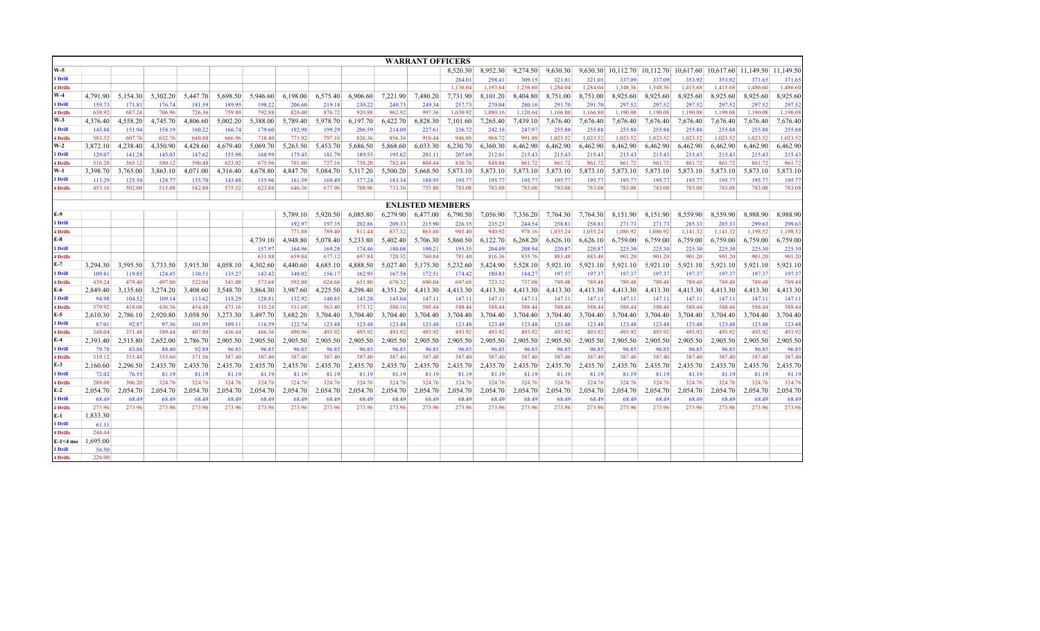|                          |                    |                  |                  |                  |                  |                  |                    |                  |                  |                  | <b>WARRANT OFFICERS</b> |                  |                  |                  |                  |                  |                                                                      |                  |                  |                  |                  |                  |
|--------------------------|--------------------|------------------|------------------|------------------|------------------|------------------|--------------------|------------------|------------------|------------------|-------------------------|------------------|------------------|------------------|------------------|------------------|----------------------------------------------------------------------|------------------|------------------|------------------|------------------|------------------|
| <b>W-5</b>               |                    |                  |                  |                  |                  |                  |                    |                  |                  |                  |                         | 8,520.30         | 8,952.30         | 9,274.50         | 9,630.30         |                  | 9,630.30 10,112.70 10,112.70 10,617.60 10,617.60 11,149.50 11,149.50 |                  |                  |                  |                  |                  |
| l Drill                  |                    |                  |                  |                  |                  |                  |                    |                  |                  |                  |                         | 284.01           | 298.41           | 309.15           | 321.01           | 321.01           | 337.09                                                               | 337.09           | 353.92           | 353.92           | 371.65           | 371.65           |
| <b>4 Drills</b>          |                    |                  |                  |                  |                  |                  |                    |                  |                  |                  |                         | 1,136.04         | 1,193.64         | 1,236.60         | 1,284.04         | 1,284.04         | 1,348.36                                                             | 1,348.36         | 1,415.68         | 1,415.68         | 1,486.60         | 1,486.60         |
| W-4                      | 4,791.90           | 5,154.30         | 5,302.20         | 5,447.70         | 5,698.50         | 5,946.60         | 6,198.00           | 6,575.40         | 6,906.60         | 7,221.90         | 7,480.20                | 7,731.90         | 8,101.20         | 8,404.80         | 8,751.00         | 8,751.00         | 8,925.60                                                             | 8,925.60         | 8,925.60         | 8,925.60         | 8,925.60         | 8,925.60         |
| l Drill                  | 159.73             | 171.81           | 176.74           | 181.59           | 189.95           | 198.22           | 206.60             | 219.18           | 230.22           | 240.73           | 249.34                  | 257.73           | 270.04           | 280.16           | 291.70           | 291.70           | 297.52                                                               | 297.52           | 297.52           | 297.52           | 297.52           | 297.52           |
| <b>Prills</b>            | 638.92             | 687.24           | 706.96           | 726.36           | 759.80           | 792.88           | 826.40             | 876.72           | 920.88           | 962.92           | 997.36                  | 1,030.92         | 1,080.16         | 1,120.64         | 1,166.80         | 1,166.80         | 1,190.08                                                             | 1,190.08         | 1,190.08         | 1,190.08         | 1,190.08         | 1,190.08         |
| W-3                      | 4,376.40           | 4,558.20         | 4,745.70         | 4,806.60         | 5,002.20         | 5,388.00         | 5,789.40           | 5,978.70         | 6,197.70         | 6,422.70         | 6,828.30                | 7,101.60         | 7,265.40         | 7,439.10         | 7,676.40         | 7,676.40         | 7,676.40                                                             | 7,676.40         | 7,676.40         | 7,676.40         | 7,676.40         | 7,676.40         |
| <b>Drill</b>             | 145.88             | 151.94           | 158.19           | 160.22           | 166.74           | 179.60           | 192.98             | 199.29           | 206.59           | 214.09           | 227.61                  | 236.72           | 242.18           | 247.97           | 255.88           | 255.88           | 255.88                                                               | 255.88           | 255.88           | 255.88           | 255.88           | 255.88           |
| <b>Drills</b>            | 583.52             | 607.76           | 632.76           | 640.88           | 666.96           | 718.40           | 771.92             | 797.16           | 826.36           | 856.36           | 910.44                  | 946.88           | 968.72           | 991.88           | 1,023.52         | 1,023.52         | 1,023.52                                                             | 1,023.52         | 1,023.52         | 1,023.52         | 1,023.52         | 1,023.52         |
| W-2                      | 3,872.10           | 4,238.40         | 4,350.90         | 4,428.60         | 4,679.40         | 5,069.70         | 5,263.50           | 5,453.70         | 5,686.50         | 5,868.60         | 6,033.30                | 6,230.70         | 6,360.30         | 6,462.90         | 6,462.90         | 6,462.90         | 6,462.90                                                             | 6,462.90         | 6,462.90         | 6,462.90         | 6,462.90         | 6,462.90         |
| l Drill                  | 129.07             | 141.28<br>565.12 | 145.03<br>580.12 | 147.62<br>590.48 | 155.98<br>623.92 | 168.99<br>675.96 | 175.45             | 181.79<br>727.16 | 189.55<br>758.20 | 195.62<br>782.48 | 201.11<br>804.44        | 207.69<br>830.76 | 212.01<br>848.04 | 215.43<br>861.72 | 215.43<br>861.72 | 215.43<br>861.72 | 215.43<br>861.72                                                     | 215.43<br>861.72 | 215.43<br>861.72 | 215.43<br>861.72 | 215.43<br>861.72 | 215.43<br>861.72 |
| <b>Drills</b><br>W-1     | 516.28<br>3,398.70 | 3,765.00         | 3,863.10         | 4,071.00         | 4,316.40         | 4,678.80         | 701.80<br>4,847.70 | 5,084.70         | 5,317.20         | 5,500.20         | 5,668.50                | 5,873.10         | 5,873.10         | 5,873.10         | 5,873.10         | 5,873.10         | 5,873.10                                                             | 5,873.10         | 5,873.10         | 5,873.10         | 5,873.10         | 5,873.10         |
| Drill                    | 113.29             | 125.50           | 128.77           | 135.70           | 143.88           | 155.96           | 161.59             | 169.49           | 177.24           | 183.34           | 188.95                  | 195.77           | 195.77           | 195.77           | 195.77           | 195.77           | 195.77                                                               | 195.77           | 195.77           | 195.77           | 195.77           | 195.77           |
| 4 Drills                 | 453.16             | 502.00           | 515.08           | 542.80           | 575.52           | 623.84           | 646.36             | 677.96           | 708.96           | 733.36           | 755.80                  | 783.08           | 783.08           | 783.08           | 783.08           | 783.08           | 783.08                                                               | 783.08           | 783.08           | 783.08           | 783.08           | 783.08           |
|                          |                    |                  |                  |                  |                  |                  |                    |                  |                  |                  |                         |                  |                  |                  |                  |                  |                                                                      |                  |                  |                  |                  |                  |
|                          |                    |                  |                  |                  |                  |                  |                    |                  |                  |                  | <b>ENLISTED MEMBERS</b> |                  |                  |                  |                  |                  |                                                                      |                  |                  |                  |                  |                  |
| E-9                      |                    |                  |                  |                  |                  |                  | 5,789.10           | 5,920.50         | 6,085.80         | 6,279.90         | 6,477.00                | 6,790.50         | 7,056.90         | 7,336.20         | 7,764.30         | 7,764.30         | 8,151.90                                                             | 8,151.90         | 8,559.90         | 8,559.90         | 8,988.90         | 8,988.90         |
| <b>Drill</b>             |                    |                  |                  |                  |                  |                  | 192.97             | 197.35           | 202.86           | 209.33           | 215.90                  | 226.35           | 235.23           | 244.54           | 258.81           | 258.81           | 271.73                                                               | 271.73           | 285.33           | 285.33           | 299.63           | 299.63           |
| Drills                   |                    |                  |                  |                  |                  |                  | 771.88             | 789.40           | 811.44           | 837.32           | 863.60                  | 905.40           | 940.92           | 978.16           | 1,035.24         | 1,035.24         | 1,086.92                                                             | 1,086.92         | 1,141.32         | 1,141.32         | 1,198.52         | 1,198.52         |
| E-8                      |                    |                  |                  |                  |                  | 4,739.10         | 4,948.80           | 5,078.40         | 5,233.80         | 5,402.40         | 5,706.30                | 5,860.50         | 6,122.70         | 6,268.20         | 6,626.10         | 6,626.10         | 6,759.00                                                             | 6,759.00         | 6,759.00         | 6,759.00         | 6,759.00         | 6,759.00         |
| <b>Drill</b>             |                    |                  |                  |                  |                  | 157.97           | 164.96             | 169.28           | 174.46           | 180.08           | 190.21                  | 195.35           | 204.09           | 208.94           | 220.87           | 220.87           | 225.30                                                               | 225.30           | 225.30           | 225.30           | 225.30           | 225.30           |
| <b>Prills</b>            |                    |                  |                  |                  |                  | 631.88           | 659.84             | 677.12           | 697.84           | 720.32           | 760.84                  | 781.40           | 816.36           | 835.76           | 883.48           | 883.48           | 901.20                                                               | 901.20           | 901.20           | 901.20           | 901.20           | 901.20           |
| E-7                      | 3,294.30           | 3,595.50         | 3,733.50         | 3,915.30         | 4,058.10         | 4,302.60         | 4,440.60           | 4,685.10         | 4,888.50         | 5,027.40         | 5,175.30                | 5,232.60         | 5,424.90         | 5,528.10         | 5,921.10         | 5,921.10         | 5,921.10                                                             | 5,921.10         | 5,921.10         | 5,921.10         | 5,921.10         | 5,921.10         |
| l Drill                  | 109.81             | 119.85           | 124.45           | 130.51           | 135.27           | 143.42           | 148.02             | 156.17           | 162.95           | 167.58           | 172.51                  | 174.42           | 180.83           | 184.27           | 197.37           | 197.37           | 197.37                                                               | 197.37           | 197.37           | 197.37           | 197.37           | 197.37           |
| <b>Drills</b>            | 439.24             | 479.40           | 497.80           | 522.04           | 541.08           | 573.68           | 592.08             | 624.68           | 651.80           | 670.32           | 690.04                  | 697.68           | 723.32           | 737.08           | 789.48           | 789.48           | 789.48                                                               | 789.48           | 789.48           | 789.48           | 789.48           | 789.48           |
| E-6<br><b>Drill</b>      | 2,849.40<br>94.98  | 3,135.60         | 3,274.20         | 3,408.60         | 3,548.70         | 3,864.30         | 3,987.60           | 4,225.50         | 4,298.40         | 4,351.20         | 4,413.30                | 4,413.30         | 4,413.30         | 4,413.30         | 4,413.30         | 4,413.30         | 4,413.30                                                             | 4,413.30         | 4,413.30         | 4,413.30         | 4,413.30         | 4,413.30         |
| <b>Drills</b>            | 379.92             | 104.52<br>418.08 | 109.14<br>436.56 | 113.62<br>454.48 | 118.29<br>473.16 | 128.81<br>515.24 | 132.92<br>531.68   | 140.85<br>563.40 | 143.28<br>573.12 | 145.04<br>580.16 | 147.11<br>588.44        | 147.11<br>588.44 | 147.11<br>588.44 | 147.11<br>588.44 | 147.11<br>588.44 | 147.11<br>588.44 | 147.11<br>588.44                                                     | 147.11<br>588.44 | 147.11<br>588.44 | 147.11<br>588.44 | 147.11<br>588.44 | 147.11<br>588.44 |
| E-5                      | 2,610.30           | 2,786.10         | 2,920.80         | 3,058.50         | 3,273.30         | 3,497.70         | 3,682.20           | 3,704.40         | 3,704.40         | 3,704.40         | 3,704.40                | 3,704.40         | 3,704.40         | 3,704.40         | 3,704.40         | 3,704.40         | 3,704.40                                                             | 3,704.40         | 3,704.40         | 3,704.40         | 3,704.40         | 3,704.40         |
| Drill                    | 87.01              | 92.87            | 97.36            | 101.95           | 109.11           | 116.59           | 122.74             | 123.48           | 123.48           | 123.48           | 123.48                  | 123.48           | 123.48           | 123.48           | 123.48           | 123.48           | 123.48                                                               | 123.48           | 123.48           | 123.48           | 123.48           | 123.48           |
| <b>Drills</b>            | 348.04             | 371.48           | 389.44           | 407.80           | 436.44           | 466.36           | 490.96             | 493.92           | 493.92           | 493.92           | 493.92                  | 493.92           | 493.92           | 493.92           | 493.92           | 493.92           | 493.92                                                               | 493.92           | 493.92           | 493.92           | 493.92           | 493.92           |
| E-4                      | 2,393.40           | 2,515.80         | 2,652.00         | 2,786.70         | 2,905.50         | 2,905.50         | 2,905.50           | 2,905.50         | 2,905.50         | 2,905.50         | 2,905.50                | 2,905.50         | 2,905.50         | 2,905.50         | 2,905.50         | 2,905.50         | 2,905.50                                                             | 2,905.50         | 2,905.50         | 2,905.50         | 2,905.50         | 2,905.50         |
| <b>Drill</b>             | 79.78              | 83.86            | 88.40            | 92.89            | 96.85            | 96.85            | 96.85              | 96.85            | 96.85            | 96.85            | 96.85                   | 96.85            | 96.85            | 96.85            | 96.85            | 96.85            | 96.85                                                                | 96.85            | 96.85            | 96.85            | 96.85            | 96.85            |
| <b>Prills</b>            | 319.12             | 335.44           | 353.60           | 371.56           | 387.40           | 387.40           | 387.40             | 387.40           | 387.40           | 387.40           | 387.40                  | 387.40           | 387.40           | 387.40           | 387.40           | 387.40           | 387.40                                                               | 387.40           | 387.40           | 387.40           | 387.40           | 387.40           |
| E-3                      | 2,160.60           | 2,296.50         | 2,435.70         | 2,435.70         | 2,435.70         | 2,435.70         | 2,435.70           | 2,435.70         | 2,435.70         | 2,435.70         | 2,435.70                | 2,435.70         | 2,435.70         | 2,435.70         | 2,435.70         | 2,435.70         | 2,435.70                                                             | 2,435.70         | 2,435.70         | 2,435.70         | 2,435.70         | 2,435.70         |
| <b>Drill</b>             | 72.02              | 76.55            | 81.19            | 81.19            | 81.19            | 81.19            | 81.19              | 81.19            | 81.19            | 81.19            | 81.19                   | 81.19            | 81.19            | 81.19            | 81.19            | 81.19            | 81.19                                                                | 81.19            | 81.19            | 81.19            | 81.19            | 81.19            |
| <b>Prills</b>            | 288.08             | 306.20           | 324.76           | 324.76           | 324.76           | 324.76           | 324.76             | 324.76           | 324.76           | 324.76           | 324.76                  | 324.76           | 324.76           | 324.76           | 324.76           | 324.76           | 324.76                                                               | 324.76           | 324.76           | 324.76           | 324.76           | 324.76           |
| E-2                      | 2,054.70           | 2,054.70         | 2,054.70         | 2.054.70         | 2,054.70         | 2,054.70         | 2,054.70           | 2,054.70         | 2,054.70         | 2,054.70         | 2,054.70                | 2,054.70         | 2,054.70         | 2,054.70         | 2.054.70         | 2,054.70         | 2,054.70                                                             | 2,054.70         | 2,054.70         | 2,054.70         | 2,054.70         | 2,054.70         |
| <b>Drill</b>             | 68.49              | 68.49            | 68.49            | 68.49            | 68.49            | 68.49            | 68.49              | 68.49            | 68.49            | 68.49            | 68.49                   | 68.49            | 68.49            | 68.49            | 68.49            | 68.49            | 68.49                                                                | 68.49            | 68.49            | 68.49            | 68.49            | 68.49            |
| <b>Prills</b>            | 273.96             | 273.96           | 273.96           | 273.96           | 273.96           | 273.96           | 273.96             | 273.96           | 273.96           | 273.96           | 273.96                  | 273.96           | 273.96           | 273.96           | 273.96           | 273.96           | 273.96                                                               | 273.96           | 273.96           | 273.96           | 273.96           | 273.96           |
| E-1                      | 1,833.30           |                  |                  |                  |                  |                  |                    |                  |                  |                  |                         |                  |                  |                  |                  |                  |                                                                      |                  |                  |                  |                  |                  |
| l Drill                  | 61.11              |                  |                  |                  |                  |                  |                    |                  |                  |                  |                         |                  |                  |                  |                  |                  |                                                                      |                  |                  |                  |                  |                  |
| <b>Prills</b>            | 244.44<br>1,695.00 |                  |                  |                  |                  |                  |                    |                  |                  |                  |                         |                  |                  |                  |                  |                  |                                                                      |                  |                  |                  |                  |                  |
| E-1<4 mo<br><b>Drill</b> | 56.50              |                  |                  |                  |                  |                  |                    |                  |                  |                  |                         |                  |                  |                  |                  |                  |                                                                      |                  |                  |                  |                  |                  |
| 4 Drills                 | 226.00             |                  |                  |                  |                  |                  |                    |                  |                  |                  |                         |                  |                  |                  |                  |                  |                                                                      |                  |                  |                  |                  |                  |
|                          |                    |                  |                  |                  |                  |                  |                    |                  |                  |                  |                         |                  |                  |                  |                  |                  |                                                                      |                  |                  |                  |                  |                  |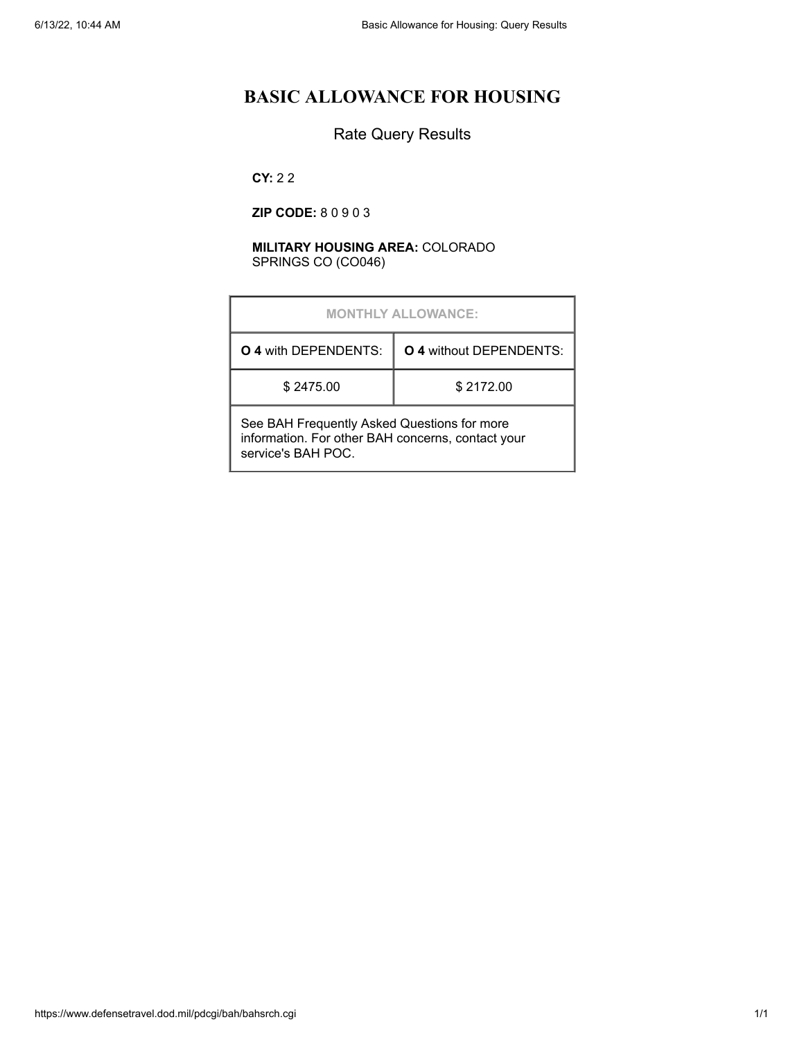# **BASIC ALLOWANCE FOR HOUSING**

### Rate Query Results

**CY:** 2 2

**ZIP CODE:** 8 0 9 0 3

#### **MILITARY HOUSING AREA:** COLORADO SPRINGS CO (CO046)

|                                                                                                                        | <b>MONTHLY ALLOWANCE:</b>      |
|------------------------------------------------------------------------------------------------------------------------|--------------------------------|
| <b>O 4 with DEPENDENTS:</b>                                                                                            | <b>O 4 without DEPENDENTS:</b> |
| \$2475.00                                                                                                              | \$2172.00                      |
| See BAH Frequently Asked Questions for more<br>information. For other BAH concerns, contact your<br>service's BAH POC. |                                |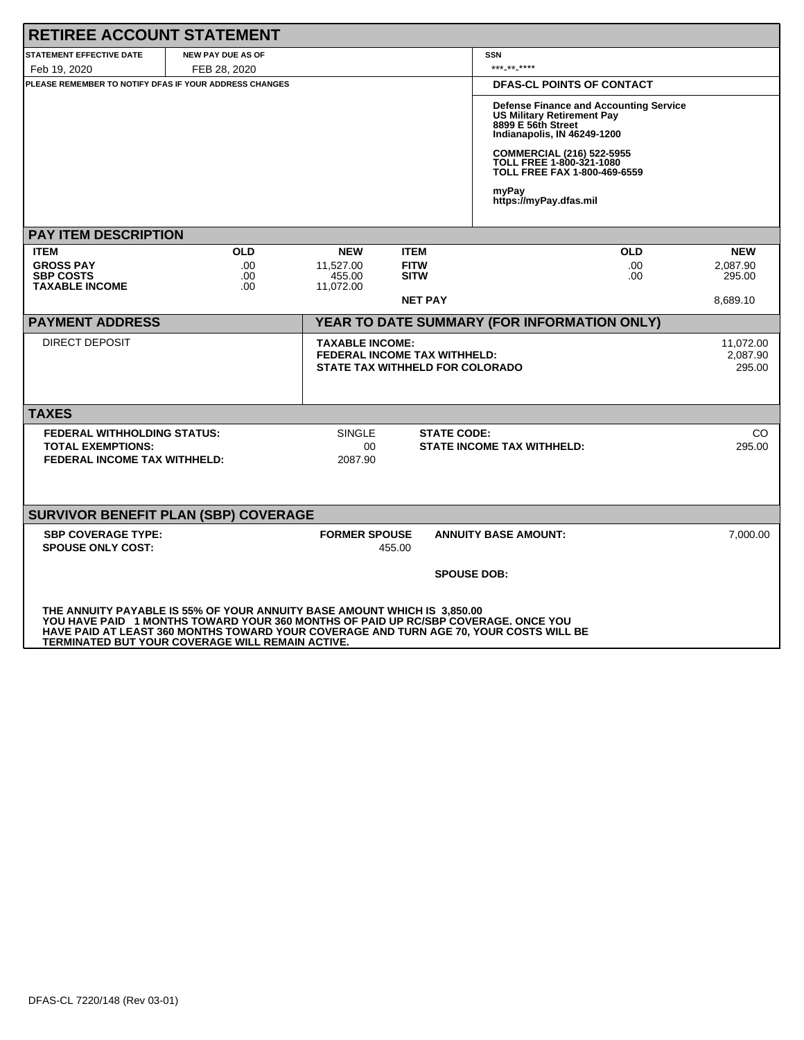| <b>RETIREE ACCOUNT STATEMENT</b>                       |                                                                                                                                                                                                                                                                                                              |                                                                                                         |                            |                                                                                                                                                                                                         |                                  |
|--------------------------------------------------------|--------------------------------------------------------------------------------------------------------------------------------------------------------------------------------------------------------------------------------------------------------------------------------------------------------------|---------------------------------------------------------------------------------------------------------|----------------------------|---------------------------------------------------------------------------------------------------------------------------------------------------------------------------------------------------------|----------------------------------|
| <b>STATEMENT EFFECTIVE DATE</b>                        | <b>NEW PAY DUE AS OF</b>                                                                                                                                                                                                                                                                                     |                                                                                                         |                            | <b>SSN</b>                                                                                                                                                                                              |                                  |
| Feb 19, 2020                                           | FEB 28, 2020                                                                                                                                                                                                                                                                                                 |                                                                                                         |                            | *** ** *****                                                                                                                                                                                            |                                  |
| PLEASE REMEMBER TO NOTIFY DFAS IF YOUR ADDRESS CHANGES |                                                                                                                                                                                                                                                                                                              |                                                                                                         |                            | <b>DFAS-CL POINTS OF CONTACT</b>                                                                                                                                                                        |                                  |
|                                                        |                                                                                                                                                                                                                                                                                                              |                                                                                                         |                            | <b>Defense Finance and Accounting Service</b><br><b>US Military Retirement Pay</b><br>8899 E 56th Street<br>Indianapolis, IN 46249-1200<br><b>COMMERCIAL (216) 522-5955</b><br>TOLL FREE 1-800-321-1080 |                                  |
|                                                        |                                                                                                                                                                                                                                                                                                              |                                                                                                         |                            | TOLL FREE FAX 1-800-469-6559                                                                                                                                                                            |                                  |
|                                                        |                                                                                                                                                                                                                                                                                                              |                                                                                                         |                            | myPay<br>https://myPay.dfas.mil                                                                                                                                                                         |                                  |
| <b>PAY ITEM DESCRIPTION</b>                            |                                                                                                                                                                                                                                                                                                              |                                                                                                         |                            |                                                                                                                                                                                                         |                                  |
| <b>ITEM</b>                                            | <b>OLD</b>                                                                                                                                                                                                                                                                                                   | <b>NEW</b>                                                                                              | <b>ITEM</b>                | <b>OLD</b>                                                                                                                                                                                              | <b>NEW</b>                       |
| <b>GROSS PAY</b><br><b>SBP COSTS</b>                   | .00<br>.00                                                                                                                                                                                                                                                                                                   | 11,527.00<br>455.00                                                                                     | <b>FITW</b><br><b>SITW</b> |                                                                                                                                                                                                         | .00<br>2,087.90<br>295.00<br>.00 |
| <b>TAXABLE INCOME</b>                                  | .00                                                                                                                                                                                                                                                                                                          | 11,072.00                                                                                               |                            |                                                                                                                                                                                                         |                                  |
|                                                        |                                                                                                                                                                                                                                                                                                              |                                                                                                         | <b>NET PAY</b>             |                                                                                                                                                                                                         | 8,689.10                         |
| <b>PAYMENT ADDRESS</b>                                 |                                                                                                                                                                                                                                                                                                              |                                                                                                         |                            | YEAR TO DATE SUMMARY (FOR INFORMATION ONLY)                                                                                                                                                             |                                  |
| <b>DIRECT DEPOSIT</b>                                  |                                                                                                                                                                                                                                                                                                              | <b>TAXABLE INCOME:</b><br><b>FEDERAL INCOME TAX WITHHELD:</b><br><b>STATE TAX WITHHELD FOR COLORADO</b> |                            |                                                                                                                                                                                                         | 11,072.00<br>2,087.90<br>295.00  |
| <b>TAXES</b>                                           |                                                                                                                                                                                                                                                                                                              |                                                                                                         |                            |                                                                                                                                                                                                         |                                  |
| <b>FEDERAL WITHHOLDING STATUS:</b>                     |                                                                                                                                                                                                                                                                                                              | <b>SINGLE</b>                                                                                           | <b>STATE CODE:</b>         |                                                                                                                                                                                                         | CO                               |
| <b>TOTAL EXEMPTIONS:</b>                               |                                                                                                                                                                                                                                                                                                              | 00                                                                                                      |                            | <b>STATE INCOME TAX WITHHELD:</b>                                                                                                                                                                       | 295.00                           |
| <b>FEDERAL INCOME TAX WITHHELD:</b>                    |                                                                                                                                                                                                                                                                                                              | 2087.90                                                                                                 |                            |                                                                                                                                                                                                         |                                  |
|                                                        |                                                                                                                                                                                                                                                                                                              |                                                                                                         |                            |                                                                                                                                                                                                         |                                  |
|                                                        |                                                                                                                                                                                                                                                                                                              |                                                                                                         |                            |                                                                                                                                                                                                         |                                  |
|                                                        | <b>SURVIVOR BENEFIT PLAN (SBP) COVERAGE</b>                                                                                                                                                                                                                                                                  |                                                                                                         |                            |                                                                                                                                                                                                         |                                  |
| <b>SBP COVERAGE TYPE:</b>                              |                                                                                                                                                                                                                                                                                                              | <b>FORMER SPOUSE</b>                                                                                    |                            | <b>ANNUITY BASE AMOUNT:</b>                                                                                                                                                                             | 7.000.00                         |
| <b>SPOUSE ONLY COST:</b>                               |                                                                                                                                                                                                                                                                                                              | 455.00                                                                                                  |                            |                                                                                                                                                                                                         |                                  |
|                                                        |                                                                                                                                                                                                                                                                                                              |                                                                                                         |                            | <b>SPOUSE DOB:</b>                                                                                                                                                                                      |                                  |
|                                                        |                                                                                                                                                                                                                                                                                                              |                                                                                                         |                            |                                                                                                                                                                                                         |                                  |
|                                                        | THE ANNUITY PAYABLE IS 55% OF YOUR ANNUITY BASE AMOUNT WHICH IS 3,850.00<br>YOU HAVE PAID 1 MONTHS TOWARD YOUR 360 MONTHS OF PAID UP RC/SBP COVERAGE. ONCE YOU<br>HAVE PAID AT LEAST 360 MONTHS TOWARD YOUR COVERAGE AND TURN AGE 70, YOUR COSTS WILL BE<br>TERMINATED BUT YOUR COVERAGE WILL REMAIN ACTIVE. |                                                                                                         |                            |                                                                                                                                                                                                         |                                  |